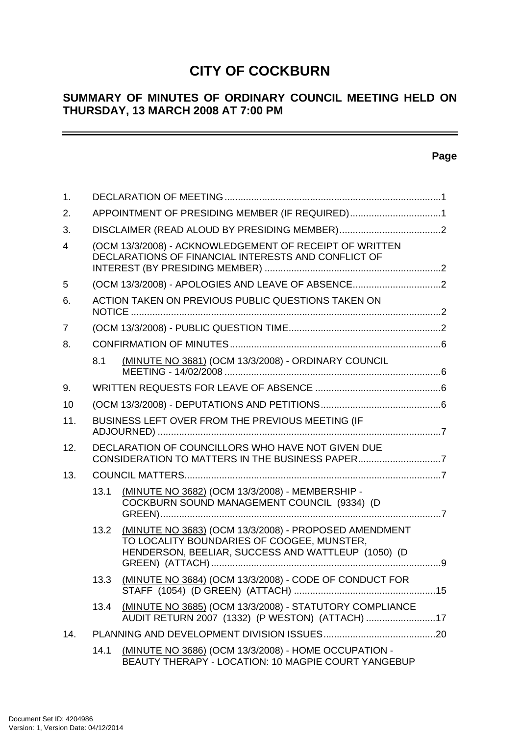# **CITY OF COCKBURN**

# **SUMMARY OF MINUTES OF ORDINARY COUNCIL MEETING HELD ON THURSDAY, 13 MARCH 2008 AT 7:00 PM**

# **Page**

| 1.  |                                                |                                                                                                                                                           |  |  |  |  |
|-----|------------------------------------------------|-----------------------------------------------------------------------------------------------------------------------------------------------------------|--|--|--|--|
| 2.  | APPOINTMENT OF PRESIDING MEMBER (IF REQUIRED)1 |                                                                                                                                                           |  |  |  |  |
| 3.  |                                                |                                                                                                                                                           |  |  |  |  |
| 4   |                                                | (OCM 13/3/2008) - ACKNOWLEDGEMENT OF RECEIPT OF WRITTEN<br>DECLARATIONS OF FINANCIAL INTERESTS AND CONFLICT OF                                            |  |  |  |  |
| 5   |                                                | (OCM 13/3/2008) - APOLOGIES AND LEAVE OF ABSENCE                                                                                                          |  |  |  |  |
| 6.  |                                                | ACTION TAKEN ON PREVIOUS PUBLIC QUESTIONS TAKEN ON                                                                                                        |  |  |  |  |
| 7   |                                                |                                                                                                                                                           |  |  |  |  |
| 8.  |                                                |                                                                                                                                                           |  |  |  |  |
|     | 8.1                                            | (MINUTE NO 3681) (OCM 13/3/2008) - ORDINARY COUNCIL                                                                                                       |  |  |  |  |
| 9.  |                                                |                                                                                                                                                           |  |  |  |  |
| 10  |                                                |                                                                                                                                                           |  |  |  |  |
| 11. |                                                | BUSINESS LEFT OVER FROM THE PREVIOUS MEETING (IF                                                                                                          |  |  |  |  |
| 12. |                                                | DECLARATION OF COUNCILLORS WHO HAVE NOT GIVEN DUE<br>CONSIDERATION TO MATTERS IN THE BUSINESS PAPER7                                                      |  |  |  |  |
| 13. |                                                |                                                                                                                                                           |  |  |  |  |
|     | 13.1                                           | (MINUTE NO 3682) (OCM 13/3/2008) - MEMBERSHIP -<br>COCKBURN SOUND MANAGEMENT COUNCIL (9334) (D                                                            |  |  |  |  |
|     | 13.2                                           | (MINUTE NO 3683) (OCM 13/3/2008) - PROPOSED AMENDMENT<br>TO LOCALITY BOUNDARIES OF COOGEE, MUNSTER,<br>HENDERSON, BEELIAR, SUCCESS AND WATTLEUP (1050) (D |  |  |  |  |
|     |                                                | 13.3 (MINUTE NO 3684) (OCM 13/3/2008) - CODE OF CONDUCT FOR                                                                                               |  |  |  |  |
|     | 13.4                                           | (MINUTE NO 3685) (OCM 13/3/2008) - STATUTORY COMPLIANCE<br>AUDIT RETURN 2007 (1332) (P WESTON) (ATTACH) 17                                                |  |  |  |  |
| 14. |                                                |                                                                                                                                                           |  |  |  |  |
|     | 14.1                                           | (MINUTE NO 3686) (OCM 13/3/2008) - HOME OCCUPATION -<br>BEAUTY THERAPY - LOCATION: 10 MAGPIE COURT YANGEBUP                                               |  |  |  |  |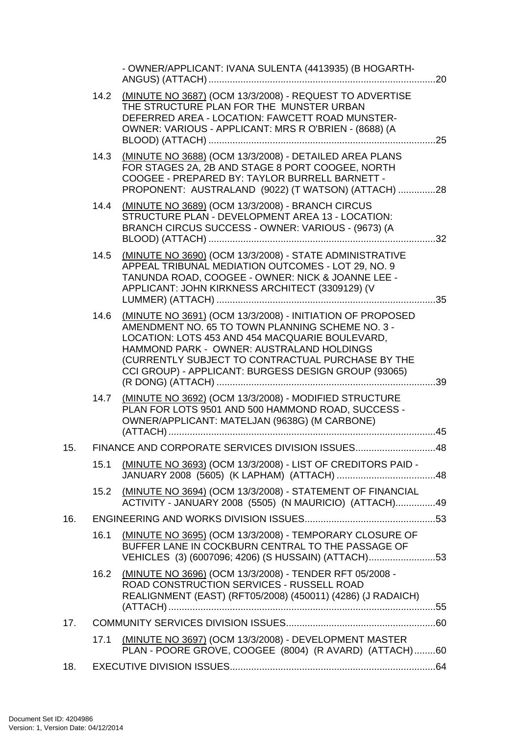|     |      | - OWNER/APPLICANT: IVANA SULENTA (4413935) (B HOGARTH-                                                                                                                                                                                                                                                                     |  |
|-----|------|----------------------------------------------------------------------------------------------------------------------------------------------------------------------------------------------------------------------------------------------------------------------------------------------------------------------------|--|
|     |      | 14.2 (MINUTE NO 3687) (OCM 13/3/2008) - REQUEST TO ADVERTISE<br>THE STRUCTURE PLAN FOR THE MUNSTER URBAN<br>DEFERRED AREA - LOCATION: FAWCETT ROAD MUNSTER-<br>OWNER: VARIOUS - APPLICANT: MRS R O'BRIEN - (8688) (A                                                                                                       |  |
|     | 14.3 | (MINUTE NO 3688) (OCM 13/3/2008) - DETAILED AREA PLANS<br>FOR STAGES 2A, 2B AND STAGE 8 PORT COOGEE, NORTH<br>COOGEE - PREPARED BY: TAYLOR BURRELL BARNETT -<br>PROPONENT: AUSTRALAND (9022) (T WATSON) (ATTACH) 28                                                                                                        |  |
|     | 14.4 | (MINUTE NO 3689) (OCM 13/3/2008) - BRANCH CIRCUS<br>STRUCTURE PLAN - DEVELOPMENT AREA 13 - LOCATION:<br>BRANCH CIRCUS SUCCESS - OWNER: VARIOUS - (9673) (A                                                                                                                                                                 |  |
|     | 14.5 | (MINUTE NO 3690) (OCM 13/3/2008) - STATE ADMINISTRATIVE<br>APPEAL TRIBUNAL MEDIATION OUTCOMES - LOT 29, NO. 9<br>TANUNDA ROAD, COOGEE - OWNER: NICK & JOANNE LEE -<br>APPLICANT: JOHN KIRKNESS ARCHITECT (3309129) (V                                                                                                      |  |
|     | 14.6 | (MINUTE NO 3691) (OCM 13/3/2008) - INITIATION OF PROPOSED<br>AMENDMENT NO. 65 TO TOWN PLANNING SCHEME NO. 3 -<br>LOCATION: LOTS 453 AND 454 MACQUARIE BOULEVARD,<br>HAMMOND PARK - OWNER: AUSTRALAND HOLDINGS<br>(CURRENTLY SUBJECT TO CONTRACTUAL PURCHASE BY THE<br>CCI GROUP) - APPLICANT: BURGESS DESIGN GROUP (93065) |  |
|     |      | 14.7 (MINUTE NO 3692) (OCM 13/3/2008) - MODIFIED STRUCTURE<br>PLAN FOR LOTS 9501 AND 500 HAMMOND ROAD, SUCCESS -<br>OWNER/APPLICANT: MATELJAN (9638G) (M CARBONE)                                                                                                                                                          |  |
| 15. |      | FINANCE AND CORPORATE SERVICES DIVISION ISSUES48                                                                                                                                                                                                                                                                           |  |
|     | 15.1 | (MINUTE NO 3693) (OCM 13/3/2008) - LIST OF CREDITORS PAID -                                                                                                                                                                                                                                                                |  |
|     |      | 15.2 (MINUTE NO 3694) (OCM 13/3/2008) - STATEMENT OF FINANCIAL<br>ACTIVITY - JANUARY 2008 (5505) (N MAURICIO) (ATTACH)49                                                                                                                                                                                                   |  |
| 16. |      |                                                                                                                                                                                                                                                                                                                            |  |
|     | 16.1 | (MINUTE NO 3695) (OCM 13/3/2008) - TEMPORARY CLOSURE OF<br>BUFFER LANE IN COCKBURN CENTRAL TO THE PASSAGE OF<br>VEHICLES (3) (6007096; 4206) (S HUSSAIN) (ATTACH)53                                                                                                                                                        |  |
|     |      | 16.2 (MINUTE NO 3696) (OCM 13/3/2008) - TENDER RFT 05/2008 -<br>ROAD CONSTRUCTION SERVICES - RUSSELL ROAD<br>REALIGNMENT (EAST) (RFT05/2008) (450011) (4286) (J RADAICH)                                                                                                                                                   |  |
| 17. |      |                                                                                                                                                                                                                                                                                                                            |  |
|     | 17.1 | (MINUTE NO 3697) (OCM 13/3/2008) - DEVELOPMENT MASTER<br>PLAN - POORE GROVE, COOGEE (8004) (R AVARD) (ATTACH)60                                                                                                                                                                                                            |  |
| 18. |      |                                                                                                                                                                                                                                                                                                                            |  |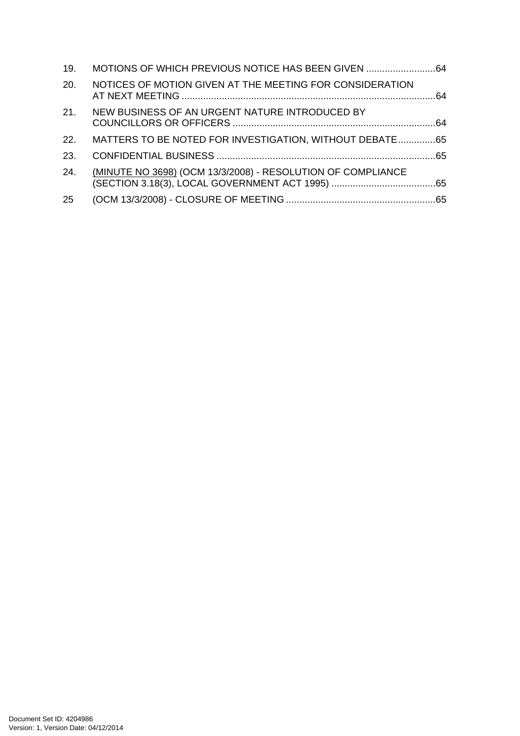| 19. |                                                             |  |
|-----|-------------------------------------------------------------|--|
| 20. | NOTICES OF MOTION GIVEN AT THE MEETING FOR CONSIDERATION    |  |
| 21. | NEW BUSINESS OF AN URGENT NATURE INTRODUCED BY              |  |
| 22. | MATTERS TO BE NOTED FOR INVESTIGATION, WITHOUT DEBATE65     |  |
| 23. |                                                             |  |
| 24. | (MINUTE NO 3698) (OCM 13/3/2008) - RESOLUTION OF COMPLIANCE |  |
| 25  |                                                             |  |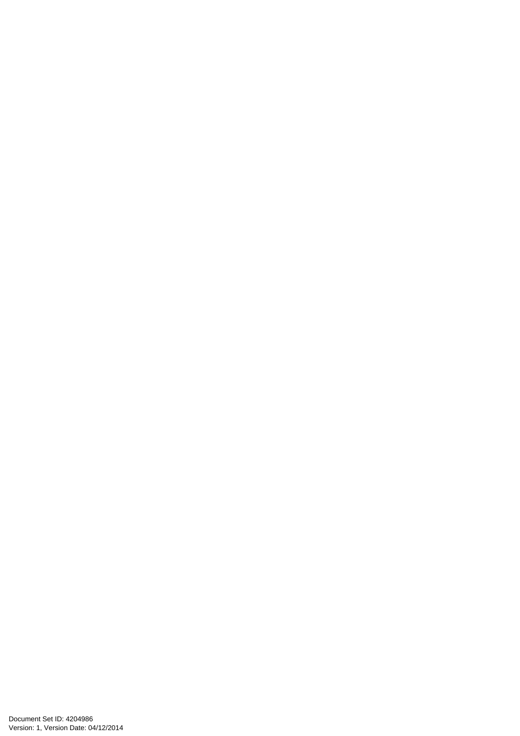Document Set ID: 4204986<br>Version: 1, Version Date: 04/12/2014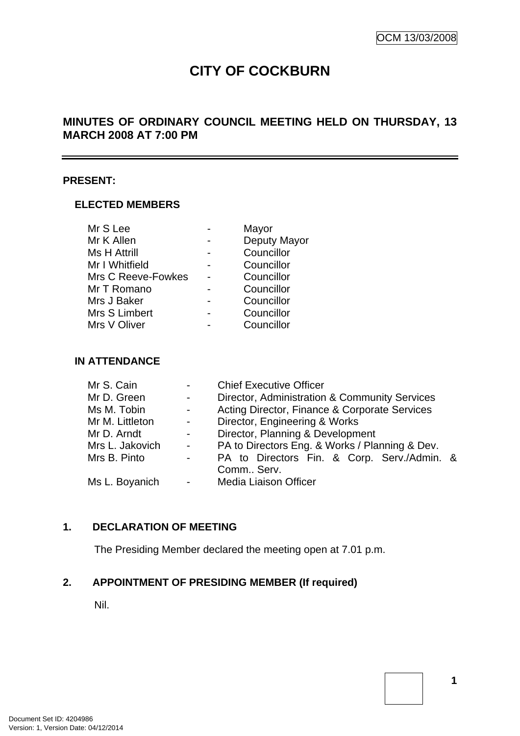# **CITY OF COCKBURN**

# <span id="page-4-0"></span>**MINUTES OF ORDINARY COUNCIL MEETING HELD ON THURSDAY, 13 MARCH 2008 AT 7:00 PM**

# **PRESENT:**

#### **ELECTED MEMBERS**

| Deputy Mayor |
|--------------|
|              |
|              |
|              |
|              |
|              |
|              |
|              |
|              |

#### **IN ATTENDANCE**

| Mr S. Cain      | $\sim$          | <b>Chief Executive Officer</b>                 |  |  |  |  |
|-----------------|-----------------|------------------------------------------------|--|--|--|--|
| Mr D. Green     | $\sim 100$      | Director, Administration & Community Services  |  |  |  |  |
| Ms M. Tobin     | $\sim 100$      | Acting Director, Finance & Corporate Services  |  |  |  |  |
| Mr M. Littleton | $\sim 100$      | Director, Engineering & Works                  |  |  |  |  |
| Mr D. Arndt     | $\sim 100$      | Director, Planning & Development               |  |  |  |  |
| Mrs L. Jakovich | $\blacksquare$  | PA to Directors Eng. & Works / Planning & Dev. |  |  |  |  |
| Mrs B. Pinto    | $\sim$          | PA to Directors Fin. & Corp. Serv./Admin. &    |  |  |  |  |
|                 |                 | Comm Serv.                                     |  |  |  |  |
| Ms L. Boyanich  | $\sim 10^{-10}$ | Media Liaison Officer                          |  |  |  |  |
|                 |                 |                                                |  |  |  |  |

# **1. DECLARATION OF MEETING**

The Presiding Member declared the meeting open at 7.01 p.m.

# **2. APPOINTMENT OF PRESIDING MEMBER (If required)**

Nil.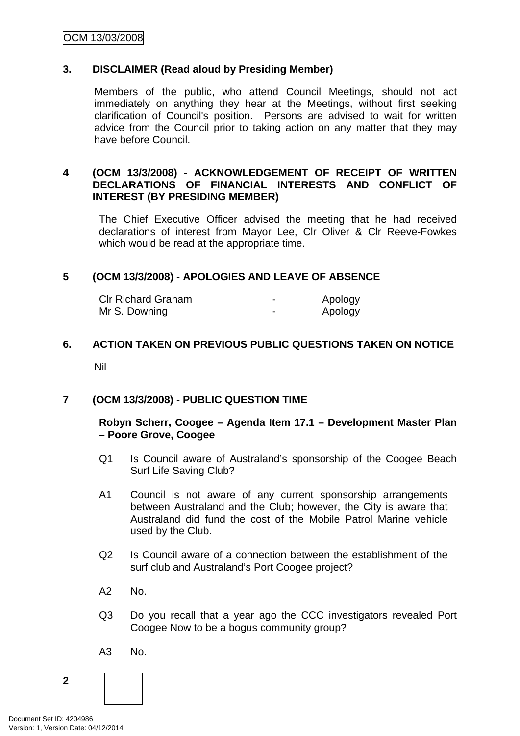# <span id="page-5-0"></span>**3. DISCLAIMER (Read aloud by Presiding Member)**

Members of the public, who attend Council Meetings, should not act immediately on anything they hear at the Meetings, without first seeking clarification of Council's position. Persons are advised to wait for written advice from the Council prior to taking action on any matter that they may have before Council.

# **4 (OCM 13/3/2008) - ACKNOWLEDGEMENT OF RECEIPT OF WRITTEN DECLARATIONS OF FINANCIAL INTERESTS AND CONFLICT OF INTEREST (BY PRESIDING MEMBER)**

The Chief Executive Officer advised the meeting that he had received declarations of interest from Mayor Lee, Clr Oliver & Clr Reeve-Fowkes which would be read at the appropriate time.

# **5 (OCM 13/3/2008) - APOLOGIES AND LEAVE OF ABSENCE**

| <b>CIr Richard Graham</b> |   | Apology |
|---------------------------|---|---------|
| Mr S. Downing             | - | Apology |

# **6. ACTION TAKEN ON PREVIOUS PUBLIC QUESTIONS TAKEN ON NOTICE**

Nil

# **7 (OCM 13/3/2008) - PUBLIC QUESTION TIME**

# **Robyn Scherr, Coogee – Agenda Item 17.1 – Development Master Plan – Poore Grove, Coogee**

- Q1 Is Council aware of Australand's sponsorship of the Coogee Beach Surf Life Saving Club?
- A1 Council is not aware of any current sponsorship arrangements between Australand and the Club; however, the City is aware that Australand did fund the cost of the Mobile Patrol Marine vehicle used by the Club.
- Q2 Is Council aware of a connection between the establishment of the surf club and Australand's Port Coogee project?
- $A2 \overline{Q}$
- Q3 Do you recall that a year ago the CCC investigators revealed Port Coogee Now to be a bogus community group?
- A3 No.

Document Set ID: 4204986<br>Version: 1, Version Date: 04/12/2014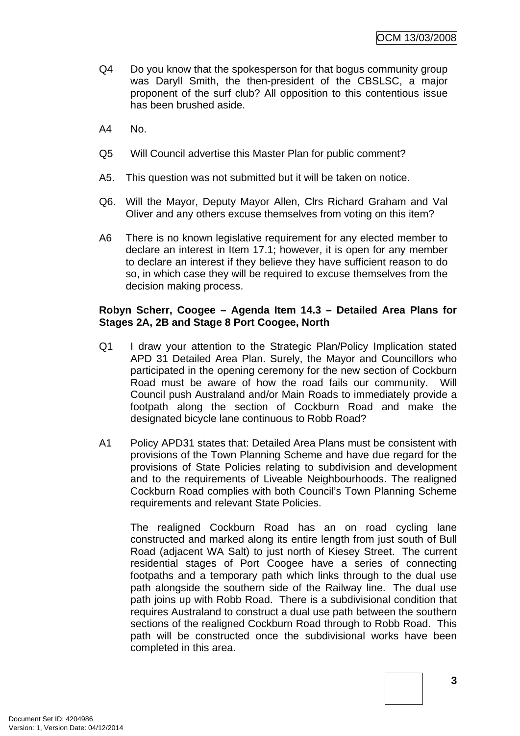- Q4 Do you know that the spokesperson for that bogus community group was Daryll Smith, the then-president of the CBSLSC, a major proponent of the surf club? All opposition to this contentious issue has been brushed aside.
- A4 No.
- Q5 Will Council advertise this Master Plan for public comment?
- A5. This question was not submitted but it will be taken on notice.
- Q6. Will the Mayor, Deputy Mayor Allen, Clrs Richard Graham and Val Oliver and any others excuse themselves from voting on this item?
- A6 There is no known legislative requirement for any elected member to declare an interest in Item 17.1; however, it is open for any member to declare an interest if they believe they have sufficient reason to do so, in which case they will be required to excuse themselves from the decision making process.

#### **Robyn Scherr, Coogee – Agenda Item 14.3 – Detailed Area Plans for Stages 2A, 2B and Stage 8 Port Coogee, North**

- Q1 I draw your attention to the Strategic Plan/Policy Implication stated APD 31 Detailed Area Plan. Surely, the Mayor and Councillors who participated in the opening ceremony for the new section of Cockburn Road must be aware of how the road fails our community. Will Council push Australand and/or Main Roads to immediately provide a footpath along the section of Cockburn Road and make the designated bicycle lane continuous to Robb Road?
- A1 Policy APD31 states that: Detailed Area Plans must be consistent with provisions of the Town Planning Scheme and have due regard for the provisions of State Policies relating to subdivision and development and to the requirements of Liveable Neighbourhoods. The realigned Cockburn Road complies with both Council's Town Planning Scheme requirements and relevant State Policies.

The realigned Cockburn Road has an on road cycling lane constructed and marked along its entire length from just south of Bull Road (adjacent WA Salt) to just north of Kiesey Street. The current residential stages of Port Coogee have a series of connecting footpaths and a temporary path which links through to the dual use path alongside the southern side of the Railway line. The dual use path joins up with Robb Road. There is a subdivisional condition that requires Australand to construct a dual use path between the southern sections of the realigned Cockburn Road through to Robb Road. This path will be constructed once the subdivisional works have been completed in this area.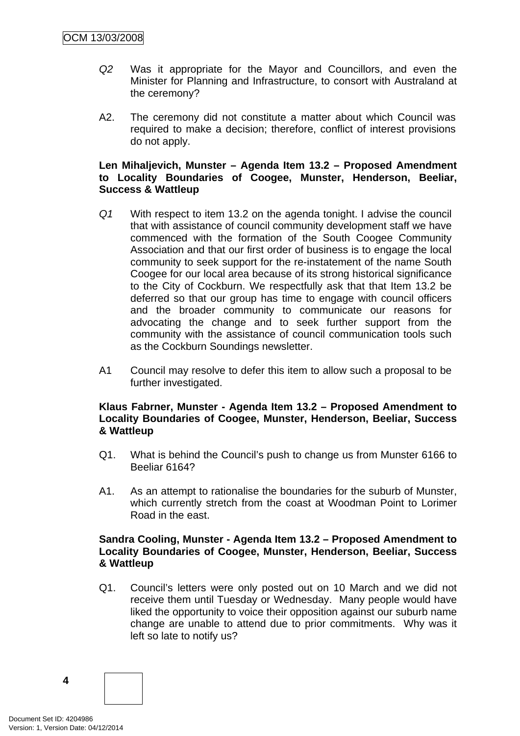- *Q2* Was it appropriate for the Mayor and Councillors, and even the Minister for Planning and Infrastructure, to consort with Australand at the ceremony?
- A2. The ceremony did not constitute a matter about which Council was required to make a decision; therefore, conflict of interest provisions do not apply.

#### **Len Mihaljevich, Munster – Agenda Item 13.2 – Proposed Amendment to Locality Boundaries of Coogee, Munster, Henderson, Beeliar, Success & Wattleup**

- *Q1* With respect to item 13.2 on the agenda tonight. I advise the council that with assistance of council community development staff we have commenced with the formation of the South Coogee Community Association and that our first order of business is to engage the local community to seek support for the re-instatement of the name South Coogee for our local area because of its strong historical significance to the City of Cockburn. We respectfully ask that that Item 13.2 be deferred so that our group has time to engage with council officers and the broader community to communicate our reasons for advocating the change and to seek further support from the community with the assistance of council communication tools such as the Cockburn Soundings newsletter.
- A1 Council may resolve to defer this item to allow such a proposal to be further investigated.

#### **Klaus Fabrner, Munster - Agenda Item 13.2 – Proposed Amendment to Locality Boundaries of Coogee, Munster, Henderson, Beeliar, Success & Wattleup**

- Q1. What is behind the Council's push to change us from Munster 6166 to Beeliar 6164?
- A1. As an attempt to rationalise the boundaries for the suburb of Munster, which currently stretch from the coast at Woodman Point to Lorimer Road in the east.

#### **Sandra Cooling, Munster - Agenda Item 13.2 – Proposed Amendment to Locality Boundaries of Coogee, Munster, Henderson, Beeliar, Success & Wattleup**

Q1. Council's letters were only posted out on 10 March and we did not receive them until Tuesday or Wednesday. Many people would have liked the opportunity to voice their opposition against our suburb name change are unable to attend due to prior commitments. Why was it left so late to notify us?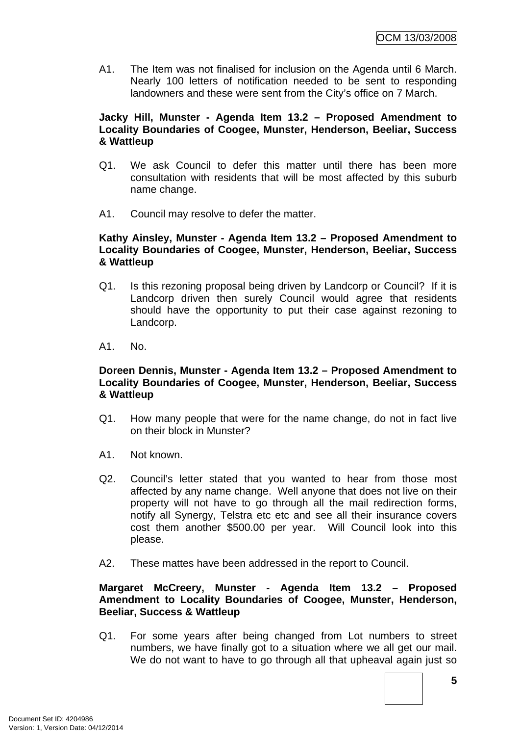<span id="page-8-0"></span>A1. The Item was not finalised for inclusion on the Agenda until 6 March. Nearly 100 letters of notification needed to be sent to responding landowners and these were sent from the City's office on 7 March.

# **Jacky Hill, Munster - Agenda Item 13.2 – Proposed Amendment to Locality Boundaries of Coogee, Munster, Henderson, Beeliar, Success & Wattleup**

- Q1. We ask Council to defer this matter until there has been more consultation with residents that will be most affected by this suburb name change.
- A1. Council may resolve to defer the matter.

#### **Kathy Ainsley, Munster - Agenda Item 13.2 – Proposed Amendment to Locality Boundaries of Coogee, Munster, Henderson, Beeliar, Success & Wattleup**

- Q1. Is this rezoning proposal being driven by Landcorp or Council? If it is Landcorp driven then surely Council would agree that residents should have the opportunity to put their case against rezoning to Landcorp.
- A1. No.

# **Doreen Dennis, Munster - Agenda Item 13.2 – Proposed Amendment to Locality Boundaries of Coogee, Munster, Henderson, Beeliar, Success & Wattleup**

- Q1. How many people that were for the name change, do not in fact live on their block in Munster?
- A1. Not known.
- Q2. Council's letter stated that you wanted to hear from those most affected by any name change. Well anyone that does not live on their property will not have to go through all the mail redirection forms, notify all Synergy, Telstra etc etc and see all their insurance covers cost them another \$500.00 per year. Will Council look into this please.
- A2. These mattes have been addressed in the report to Council.

#### **Margaret McCreery, Munster - Agenda Item 13.2 – Proposed Amendment to Locality Boundaries of Coogee, Munster, Henderson, Beeliar, Success & Wattleup**

Q1. For some years after being changed from Lot numbers to street numbers, we have finally got to a situation where we all get our mail. We do not want to have to go through all that upheaval again just so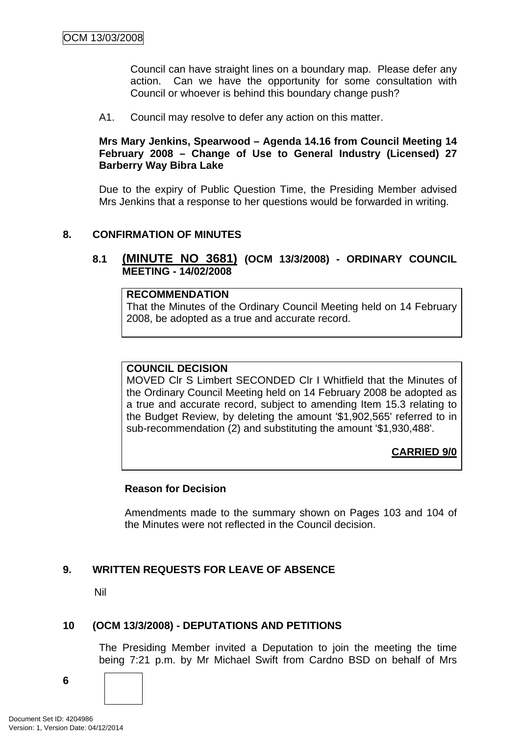Council can have straight lines on a boundary map. Please defer any action. Can we have the opportunity for some consultation with Council or whoever is behind this boundary change push?

A1. Council may resolve to defer any action on this matter.

# **Mrs Mary Jenkins, Spearwood – Agenda 14.16 from Council Meeting 14 February 2008 – Change of Use to General Industry (Licensed) 27 Barberry Way Bibra Lake**

Due to the expiry of Public Question Time, the Presiding Member advised Mrs Jenkins that a response to her questions would be forwarded in writing.

# **8. CONFIRMATION OF MINUTES**

# **8.1 (MINUTE NO 3681) (OCM 13/3/2008) - ORDINARY COUNCIL MEETING - 14/02/2008**

# **RECOMMENDATION**

That the Minutes of the Ordinary Council Meeting held on 14 February 2008, be adopted as a true and accurate record.

# **COUNCIL DECISION**

MOVED Clr S Limbert SECONDED Clr I Whitfield that the Minutes of the Ordinary Council Meeting held on 14 February 2008 be adopted as a true and accurate record, subject to amending Item 15.3 relating to the Budget Review, by deleting the amount '\$1,902,565' referred to in sub-recommendation (2) and substituting the amount '\$1,930,488'.

# **CARRIED 9/0**

#### **Reason for Decision**

Amendments made to the summary shown on Pages 103 and 104 of the Minutes were not reflected in the Council decision.

# **9. WRITTEN REQUESTS FOR LEAVE OF ABSENCE**

Nil

# **10 (OCM 13/3/2008) - DEPUTATIONS AND PETITIONS**

The Presiding Member invited a Deputation to join the meeting the time being 7:21 p.m. by Mr Michael Swift from Cardno BSD on behalf of Mrs

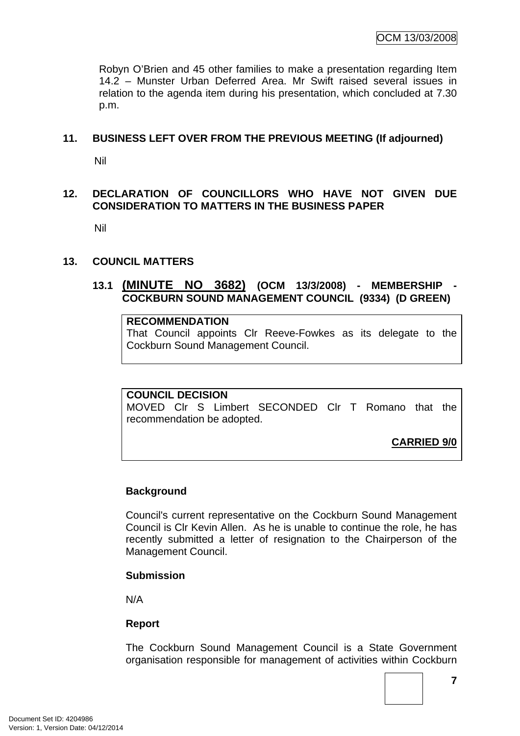<span id="page-10-0"></span>Robyn O'Brien and 45 other families to make a presentation regarding Item 14.2 – Munster Urban Deferred Area. Mr Swift raised several issues in relation to the agenda item during his presentation, which concluded at 7.30 p.m.

# **11. BUSINESS LEFT OVER FROM THE PREVIOUS MEETING (If adjourned)**

Nil

# **12. DECLARATION OF COUNCILLORS WHO HAVE NOT GIVEN DUE CONSIDERATION TO MATTERS IN THE BUSINESS PAPER**

Nil

# **13. COUNCIL MATTERS**

# **13.1 (MINUTE NO 3682) (OCM 13/3/2008) - MEMBERSHIP - COCKBURN SOUND MANAGEMENT COUNCIL (9334) (D GREEN)**

# **RECOMMENDATION**

That Council appoints Clr Reeve-Fowkes as its delegate to the Cockburn Sound Management Council.

# **COUNCIL DECISION**

MOVED Clr S Limbert SECONDED Clr T Romano that the recommendation be adopted.

**CARRIED 9/0**

# **Background**

Council's current representative on the Cockburn Sound Management Council is Clr Kevin Allen. As he is unable to continue the role, he has recently submitted a letter of resignation to the Chairperson of the Management Council.

# **Submission**

N/A

# **Report**

The Cockburn Sound Management Council is a State Government organisation responsible for management of activities within Cockburn

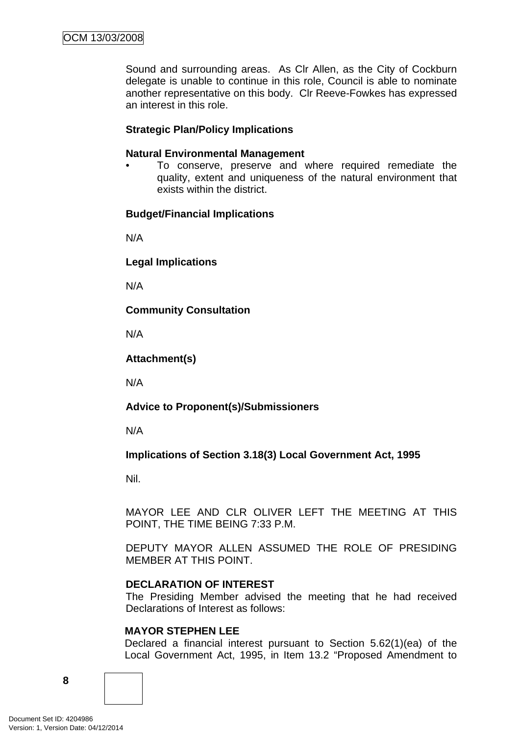Sound and surrounding areas. As Clr Allen, as the City of Cockburn delegate is unable to continue in this role, Council is able to nominate another representative on this body. Clr Reeve-Fowkes has expressed an interest in this role.

# **Strategic Plan/Policy Implications**

#### **Natural Environmental Management**

• To conserve, preserve and where required remediate the quality, extent and uniqueness of the natural environment that exists within the district.

# **Budget/Financial Implications**

N/A

**Legal Implications** 

N/A

**Community Consultation** 

N/A

**Attachment(s)**

N/A

**Advice to Proponent(s)/Submissioners** 

N/A

# **Implications of Section 3.18(3) Local Government Act, 1995**

Nil.

MAYOR LEE AND CLR OLIVER LEFT THE MEETING AT THIS POINT, THE TIME BEING 7:33 P.M.

DEPUTY MAYOR ALLEN ASSUMED THE ROLE OF PRESIDING MEMBER AT THIS POINT.

# **DECLARATION OF INTEREST**

The Presiding Member advised the meeting that he had received Declarations of Interest as follows:

# **MAYOR STEPHEN LEE**

Declared a financial interest pursuant to Section 5.62(1)(ea) of the Local Government Act, 1995, in Item 13.2 "Proposed Amendment to

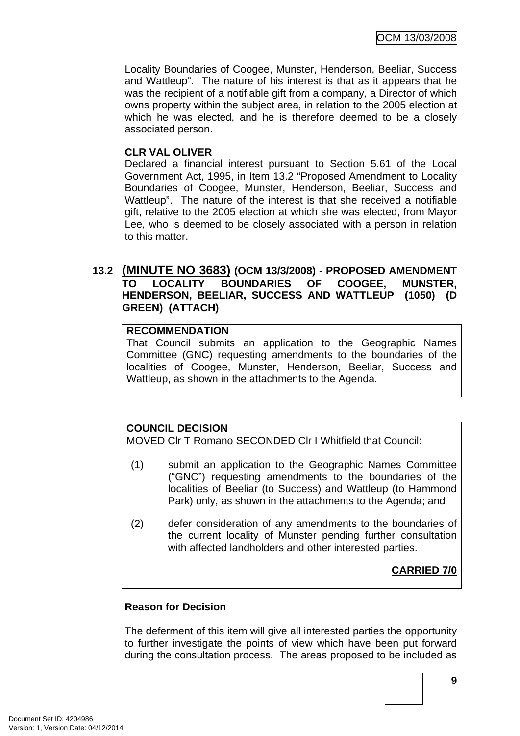<span id="page-12-0"></span>Locality Boundaries of Coogee, Munster, Henderson, Beeliar, Success and Wattleup". The nature of his interest is that as it appears that he was the recipient of a notifiable gift from a company, a Director of which owns property within the subject area, in relation to the 2005 election at which he was elected, and he is therefore deemed to be a closely associated person.

# **CLR VAL OLIVER**

Declared a financial interest pursuant to Section 5.61 of the Local Government Act, 1995, in Item 13.2 "Proposed Amendment to Locality Boundaries of Coogee, Munster, Henderson, Beeliar, Success and Wattleup". The nature of the interest is that she received a notifiable gift, relative to the 2005 election at which she was elected, from Mayor Lee, who is deemed to be closely associated with a person in relation to this matter.

# **13.2 (MINUTE NO 3683) (OCM 13/3/2008) - PROPOSED AMENDMENT TO LOCALITY BOUNDARIES OF COOGEE, MUNSTER, HENDERSON, BEELIAR, SUCCESS AND WATTLEUP (1050) (D GREEN) (ATTACH)**

# **RECOMMENDATION**

That Council submits an application to the Geographic Names Committee (GNC) requesting amendments to the boundaries of the localities of Coogee, Munster, Henderson, Beeliar, Success and Wattleup, as shown in the attachments to the Agenda.

# **COUNCIL DECISION**

MOVED Clr T Romano SECONDED Clr I Whitfield that Council:

- (1) submit an application to the Geographic Names Committee ("GNC") requesting amendments to the boundaries of the localities of Beeliar (to Success) and Wattleup (to Hammond Park) only, as shown in the attachments to the Agenda; and
- (2) defer consideration of any amendments to the boundaries of the current locality of Munster pending further consultation with affected landholders and other interested parties.

# **CARRIED 7/0**

# **Reason for Decision**

The deferment of this item will give all interested parties the opportunity to further investigate the points of view which have been put forward during the consultation process. The areas proposed to be included as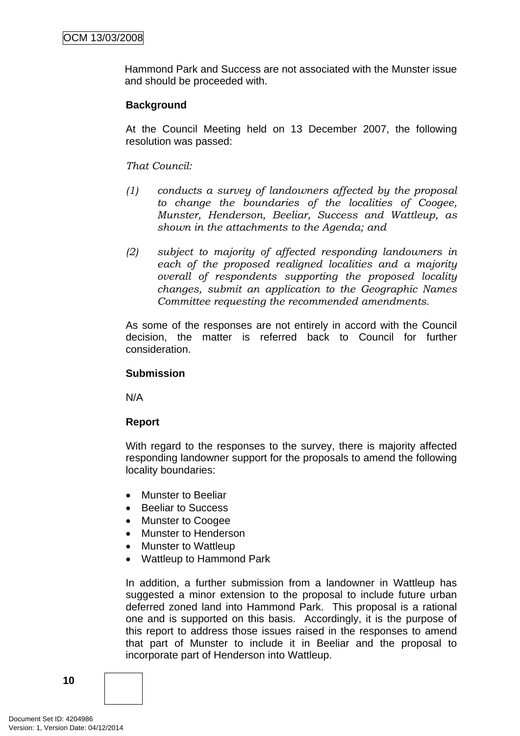Hammond Park and Success are not associated with the Munster issue and should be proceeded with.

# **Background**

At the Council Meeting held on 13 December 2007, the following resolution was passed:

# *That Council:*

- *(1) conducts a survey of landowners affected by the proposal to change the boundaries of the localities of Coogee, Munster, Henderson, Beeliar, Success and Wattleup, as shown in the attachments to the Agenda; and*
- *(2) subject to majority of affected responding landowners in each of the proposed realigned localities and a majority overall of respondents supporting the proposed locality changes, submit an application to the Geographic Names Committee requesting the recommended amendments.*

As some of the responses are not entirely in accord with the Council decision, the matter is referred back to Council for further consideration.

# **Submission**

N/A

# **Report**

With regard to the responses to the survey, there is majority affected responding landowner support for the proposals to amend the following locality boundaries:

- Munster to Beeliar
- Beeliar to Success
- Munster to Coogee
- Munster to Henderson
- Munster to Wattleup
- Wattleup to Hammond Park

In addition, a further submission from a landowner in Wattleup has suggested a minor extension to the proposal to include future urban deferred zoned land into Hammond Park. This proposal is a rational one and is supported on this basis. Accordingly, it is the purpose of this report to address those issues raised in the responses to amend that part of Munster to include it in Beeliar and the proposal to incorporate part of Henderson into Wattleup.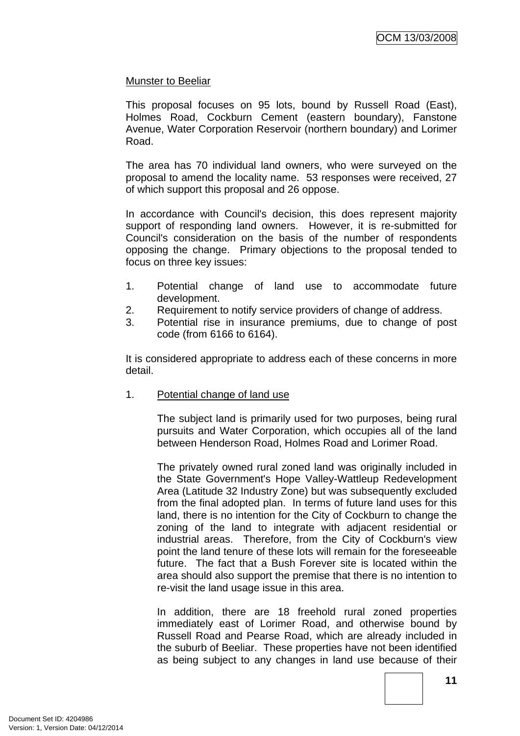# Munster to Beeliar

This proposal focuses on 95 lots, bound by Russell Road (East), Holmes Road, Cockburn Cement (eastern boundary), Fanstone Avenue, Water Corporation Reservoir (northern boundary) and Lorimer Road.

The area has 70 individual land owners, who were surveyed on the proposal to amend the locality name. 53 responses were received, 27 of which support this proposal and 26 oppose.

In accordance with Council's decision, this does represent majority support of responding land owners. However, it is re-submitted for Council's consideration on the basis of the number of respondents opposing the change. Primary objections to the proposal tended to focus on three key issues:

- 1. Potential change of land use to accommodate future development.
- 2. Requirement to notify service providers of change of address.
- 3. Potential rise in insurance premiums, due to change of post code (from 6166 to 6164).

It is considered appropriate to address each of these concerns in more detail.

# 1. Potential change of land use

The subject land is primarily used for two purposes, being rural pursuits and Water Corporation, which occupies all of the land between Henderson Road, Holmes Road and Lorimer Road.

The privately owned rural zoned land was originally included in the State Government's Hope Valley-Wattleup Redevelopment Area (Latitude 32 Industry Zone) but was subsequently excluded from the final adopted plan. In terms of future land uses for this land, there is no intention for the City of Cockburn to change the zoning of the land to integrate with adjacent residential or industrial areas. Therefore, from the City of Cockburn's view point the land tenure of these lots will remain for the foreseeable future. The fact that a Bush Forever site is located within the area should also support the premise that there is no intention to re-visit the land usage issue in this area.

In addition, there are 18 freehold rural zoned properties immediately east of Lorimer Road, and otherwise bound by Russell Road and Pearse Road, which are already included in the suburb of Beeliar. These properties have not been identified as being subject to any changes in land use because of their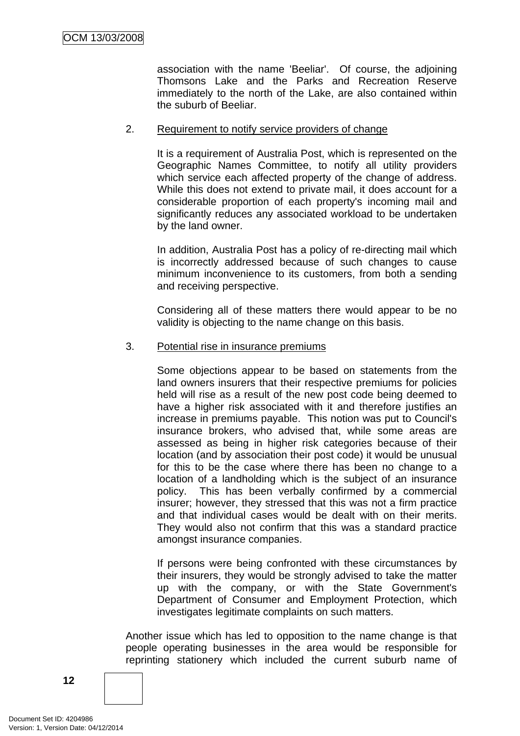association with the name 'Beeliar'. Of course, the adjoining Thomsons Lake and the Parks and Recreation Reserve immediately to the north of the Lake, are also contained within the suburb of Beeliar.

#### 2. Requirement to notify service providers of change

It is a requirement of Australia Post, which is represented on the Geographic Names Committee, to notify all utility providers which service each affected property of the change of address. While this does not extend to private mail, it does account for a considerable proportion of each property's incoming mail and significantly reduces any associated workload to be undertaken by the land owner.

In addition, Australia Post has a policy of re-directing mail which is incorrectly addressed because of such changes to cause minimum inconvenience to its customers, from both a sending and receiving perspective.

Considering all of these matters there would appear to be no validity is objecting to the name change on this basis.

#### 3. Potential rise in insurance premiums

Some objections appear to be based on statements from the land owners insurers that their respective premiums for policies held will rise as a result of the new post code being deemed to have a higher risk associated with it and therefore justifies an increase in premiums payable. This notion was put to Council's insurance brokers, who advised that, while some areas are assessed as being in higher risk categories because of their location (and by association their post code) it would be unusual for this to be the case where there has been no change to a location of a landholding which is the subject of an insurance policy. This has been verbally confirmed by a commercial insurer; however, they stressed that this was not a firm practice and that individual cases would be dealt with on their merits. They would also not confirm that this was a standard practice amongst insurance companies.

If persons were being confronted with these circumstances by their insurers, they would be strongly advised to take the matter up with the company, or with the State Government's Department of Consumer and Employment Protection, which investigates legitimate complaints on such matters.

Another issue which has led to opposition to the name change is that people operating businesses in the area would be responsible for reprinting stationery which included the current suburb name of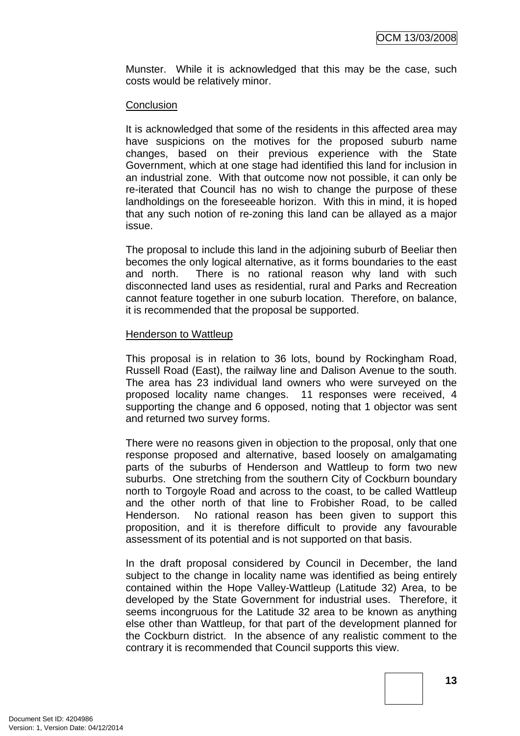Munster. While it is acknowledged that this may be the case, such costs would be relatively minor.

#### **Conclusion**

It is acknowledged that some of the residents in this affected area may have suspicions on the motives for the proposed suburb name changes, based on their previous experience with the State Government, which at one stage had identified this land for inclusion in an industrial zone. With that outcome now not possible, it can only be re-iterated that Council has no wish to change the purpose of these landholdings on the foreseeable horizon. With this in mind, it is hoped that any such notion of re-zoning this land can be allayed as a major issue.

The proposal to include this land in the adjoining suburb of Beeliar then becomes the only logical alternative, as it forms boundaries to the east and north. There is no rational reason why land with such disconnected land uses as residential, rural and Parks and Recreation cannot feature together in one suburb location. Therefore, on balance, it is recommended that the proposal be supported.

# Henderson to Wattleup

This proposal is in relation to 36 lots, bound by Rockingham Road, Russell Road (East), the railway line and Dalison Avenue to the south. The area has 23 individual land owners who were surveyed on the proposed locality name changes. 11 responses were received, 4 supporting the change and 6 opposed, noting that 1 objector was sent and returned two survey forms.

There were no reasons given in objection to the proposal, only that one response proposed and alternative, based loosely on amalgamating parts of the suburbs of Henderson and Wattleup to form two new suburbs. One stretching from the southern City of Cockburn boundary north to Torgoyle Road and across to the coast, to be called Wattleup and the other north of that line to Frobisher Road, to be called Henderson. No rational reason has been given to support this proposition, and it is therefore difficult to provide any favourable assessment of its potential and is not supported on that basis.

In the draft proposal considered by Council in December, the land subject to the change in locality name was identified as being entirely contained within the Hope Valley-Wattleup (Latitude 32) Area, to be developed by the State Government for industrial uses. Therefore, it seems incongruous for the Latitude 32 area to be known as anything else other than Wattleup, for that part of the development planned for the Cockburn district. In the absence of any realistic comment to the contrary it is recommended that Council supports this view.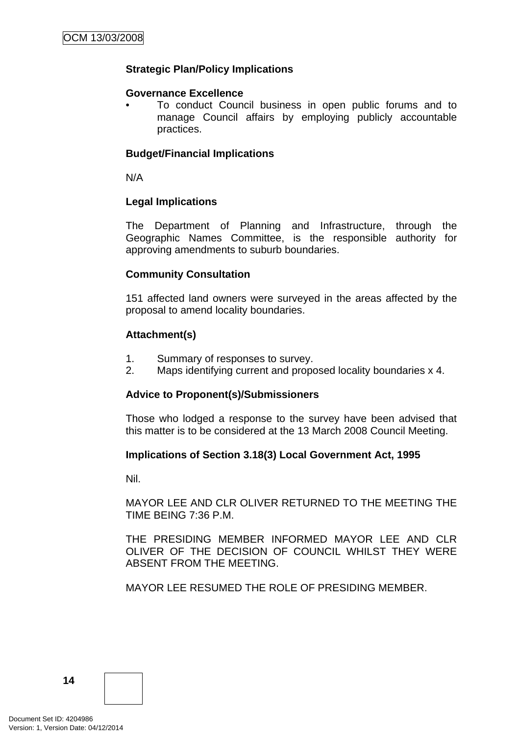# **Strategic Plan/Policy Implications**

#### **Governance Excellence**

• To conduct Council business in open public forums and to manage Council affairs by employing publicly accountable practices.

# **Budget/Financial Implications**

N/A

#### **Legal Implications**

The Department of Planning and Infrastructure, through the Geographic Names Committee, is the responsible authority for approving amendments to suburb boundaries.

# **Community Consultation**

151 affected land owners were surveyed in the areas affected by the proposal to amend locality boundaries.

#### **Attachment(s)**

- 1. Summary of responses to survey.
- 2. Maps identifying current and proposed locality boundaries x 4.

# **Advice to Proponent(s)/Submissioners**

Those who lodged a response to the survey have been advised that this matter is to be considered at the 13 March 2008 Council Meeting.

# **Implications of Section 3.18(3) Local Government Act, 1995**

Nil.

MAYOR LEE AND CLR OLIVER RETURNED TO THE MEETING THE TIME BEING 7:36 P.M.

THE PRESIDING MEMBER INFORMED MAYOR LEE AND CLR OLIVER OF THE DECISION OF COUNCIL WHILST THEY WERE ABSENT FROM THE MEETING.

MAYOR LEE RESUMED THE ROLE OF PRESIDING MEMBER.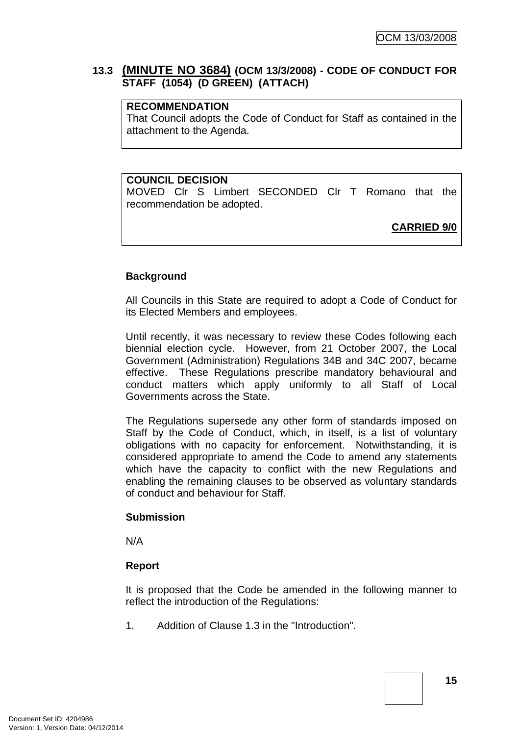# <span id="page-18-0"></span>**13.3 (MINUTE NO 3684) (OCM 13/3/2008) - CODE OF CONDUCT FOR STAFF (1054) (D GREEN) (ATTACH)**

# **RECOMMENDATION**

That Council adopts the Code of Conduct for Staff as contained in the attachment to the Agenda.

# **COUNCIL DECISION**

MOVED Clr S Limbert SECONDED Clr T Romano that the recommendation be adopted.

**CARRIED 9/0**

# **Background**

All Councils in this State are required to adopt a Code of Conduct for its Elected Members and employees.

Until recently, it was necessary to review these Codes following each biennial election cycle. However, from 21 October 2007, the Local Government (Administration) Regulations 34B and 34C 2007, became effective. These Regulations prescribe mandatory behavioural and conduct matters which apply uniformly to all Staff of Local Governments across the State.

The Regulations supersede any other form of standards imposed on Staff by the Code of Conduct, which, in itself, is a list of voluntary obligations with no capacity for enforcement. Notwithstanding, it is considered appropriate to amend the Code to amend any statements which have the capacity to conflict with the new Regulations and enabling the remaining clauses to be observed as voluntary standards of conduct and behaviour for Staff.

# **Submission**

N/A

# **Report**

It is proposed that the Code be amended in the following manner to reflect the introduction of the Regulations:

1. Addition of Clause 1.3 in the "Introduction".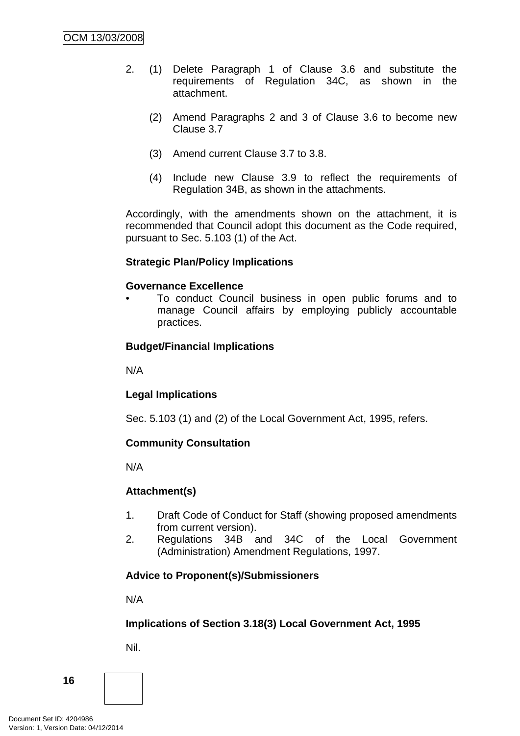- 2. (1) Delete Paragraph 1 of Clause 3.6 and substitute the requirements of Regulation 34C, as shown in the attachment.
	- (2) Amend Paragraphs 2 and 3 of Clause 3.6 to become new Clause 3.7
	- (3) Amend current Clause 3.7 to 3.8.
	- (4) Include new Clause 3.9 to reflect the requirements of Regulation 34B, as shown in the attachments.

Accordingly, with the amendments shown on the attachment, it is recommended that Council adopt this document as the Code required, pursuant to Sec. 5.103 (1) of the Act.

# **Strategic Plan/Policy Implications**

# **Governance Excellence**

• To conduct Council business in open public forums and to manage Council affairs by employing publicly accountable practices.

# **Budget/Financial Implications**

N/A

# **Legal Implications**

Sec. 5.103 (1) and (2) of the Local Government Act, 1995, refers.

# **Community Consultation**

N/A

# **Attachment(s)**

- 1. Draft Code of Conduct for Staff (showing proposed amendments from current version).
- 2. Regulations 34B and 34C of the Local Government (Administration) Amendment Regulations, 1997.

# **Advice to Proponent(s)/Submissioners**

N/A

# **Implications of Section 3.18(3) Local Government Act, 1995**

Nil.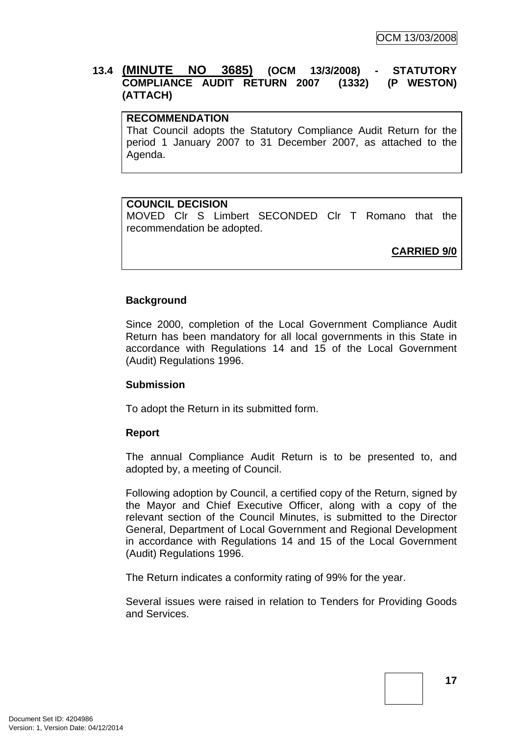# <span id="page-20-0"></span>**13.4 (MINUTE NO 3685) (OCM 13/3/2008) - STATUTORY COMPLIANCE AUDIT RETURN 2007 (1332) (P WESTON) (ATTACH)**

# **RECOMMENDATION**

That Council adopts the Statutory Compliance Audit Return for the period 1 January 2007 to 31 December 2007, as attached to the Agenda.

# **COUNCIL DECISION**

MOVED Clr S Limbert SECONDED Clr T Romano that the recommendation be adopted.

**CARRIED 9/0**

#### **Background**

Since 2000, completion of the Local Government Compliance Audit Return has been mandatory for all local governments in this State in accordance with Regulations 14 and 15 of the Local Government (Audit) Regulations 1996.

#### **Submission**

To adopt the Return in its submitted form.

#### **Report**

The annual Compliance Audit Return is to be presented to, and adopted by, a meeting of Council.

Following adoption by Council, a certified copy of the Return, signed by the Mayor and Chief Executive Officer, along with a copy of the relevant section of the Council Minutes, is submitted to the Director General, Department of Local Government and Regional Development in accordance with Regulations 14 and 15 of the Local Government (Audit) Regulations 1996.

The Return indicates a conformity rating of 99% for the year.

Several issues were raised in relation to Tenders for Providing Goods and Services.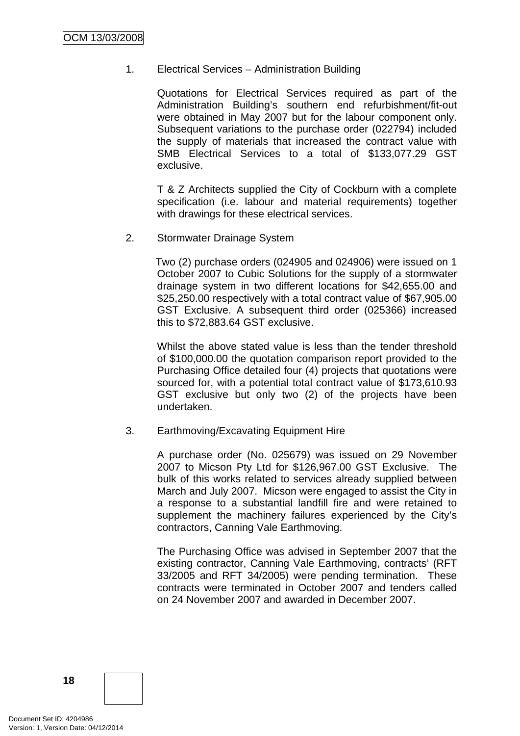# 1. Electrical Services – Administration Building

Quotations for Electrical Services required as part of the Administration Building's southern end refurbishment/fit-out were obtained in May 2007 but for the labour component only. Subsequent variations to the purchase order (022794) included the supply of materials that increased the contract value with SMB Electrical Services to a total of \$133,077.29 GST exclusive.

T & Z Architects supplied the City of Cockburn with a complete specification (i.e. labour and material requirements) together with drawings for these electrical services.

2. Stormwater Drainage System

Two (2) purchase orders (024905 and 024906) were issued on 1 October 2007 to Cubic Solutions for the supply of a stormwater drainage system in two different locations for \$42,655.00 and \$25,250.00 respectively with a total contract value of \$67,905.00 GST Exclusive. A subsequent third order (025366) increased this to \$72,883.64 GST exclusive.

Whilst the above stated value is less than the tender threshold of \$100,000.00 the quotation comparison report provided to the Purchasing Office detailed four (4) projects that quotations were sourced for, with a potential total contract value of \$173,610.93 GST exclusive but only two (2) of the projects have been undertaken.

3. Earthmoving/Excavating Equipment Hire

A purchase order (No. 025679) was issued on 29 November 2007 to Micson Pty Ltd for \$126,967.00 GST Exclusive. The bulk of this works related to services already supplied between March and July 2007. Micson were engaged to assist the City in a response to a substantial landfill fire and were retained to supplement the machinery failures experienced by the City's contractors, Canning Vale Earthmoving.

The Purchasing Office was advised in September 2007 that the existing contractor, Canning Vale Earthmoving, contracts' (RFT 33/2005 and RFT 34/2005) were pending termination. These contracts were terminated in October 2007 and tenders called on 24 November 2007 and awarded in December 2007.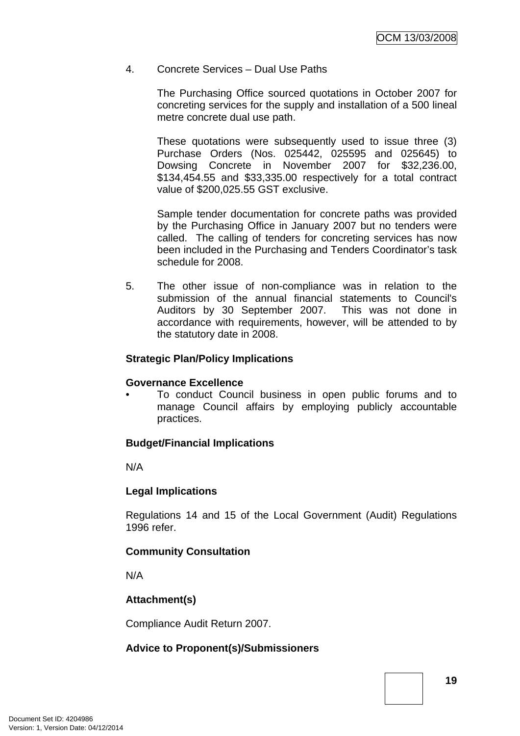# 4. Concrete Services – Dual Use Paths

The Purchasing Office sourced quotations in October 2007 for concreting services for the supply and installation of a 500 lineal metre concrete dual use path.

These quotations were subsequently used to issue three (3) Purchase Orders (Nos. 025442, 025595 and 025645) to Dowsing Concrete in November 2007 for \$32,236.00, \$134,454.55 and \$33,335.00 respectively for a total contract value of \$200,025.55 GST exclusive.

Sample tender documentation for concrete paths was provided by the Purchasing Office in January 2007 but no tenders were called. The calling of tenders for concreting services has now been included in the Purchasing and Tenders Coordinator's task schedule for 2008.

5. The other issue of non-compliance was in relation to the submission of the annual financial statements to Council's Auditors by 30 September 2007. This was not done in accordance with requirements, however, will be attended to by the statutory date in 2008.

#### **Strategic Plan/Policy Implications**

# **Governance Excellence**

• To conduct Council business in open public forums and to manage Council affairs by employing publicly accountable practices.

# **Budget/Financial Implications**

N/A

# **Legal Implications**

Regulations 14 and 15 of the Local Government (Audit) Regulations 1996 refer.

# **Community Consultation**

N/A

# **Attachment(s)**

Compliance Audit Return 2007.

# **Advice to Proponent(s)/Submissioners**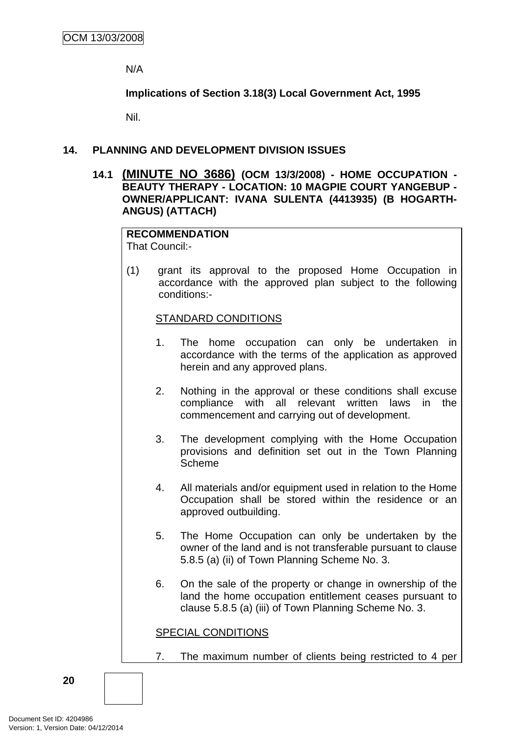<span id="page-23-0"></span>N/A

**Implications of Section 3.18(3) Local Government Act, 1995**

Nil.

# **14. PLANNING AND DEVELOPMENT DIVISION ISSUES**

**14.1 (MINUTE NO 3686) (OCM 13/3/2008) - HOME OCCUPATION - BEAUTY THERAPY - LOCATION: 10 MAGPIE COURT YANGEBUP - OWNER/APPLICANT: IVANA SULENTA (4413935) (B HOGARTH-ANGUS) (ATTACH)** 

**RECOMMENDATION** That Council:-

(1) grant its approval to the proposed Home Occupation in accordance with the approved plan subject to the following conditions:-

#### STANDARD CONDITIONS

- 1. The home occupation can only be undertaken in accordance with the terms of the application as approved herein and any approved plans.
- 2. Nothing in the approval or these conditions shall excuse compliance with all relevant written laws in the commencement and carrying out of development.
- 3. The development complying with the Home Occupation provisions and definition set out in the Town Planning Scheme
- 4. All materials and/or equipment used in relation to the Home Occupation shall be stored within the residence or an approved outbuilding.
- 5. The Home Occupation can only be undertaken by the owner of the land and is not transferable pursuant to clause 5.8.5 (a) (ii) of Town Planning Scheme No. 3.
- 6. On the sale of the property or change in ownership of the land the home occupation entitlement ceases pursuant to clause 5.8.5 (a) (iii) of Town Planning Scheme No. 3.

SPECIAL CONDITIONS

7. The maximum number of clients being restricted to 4 per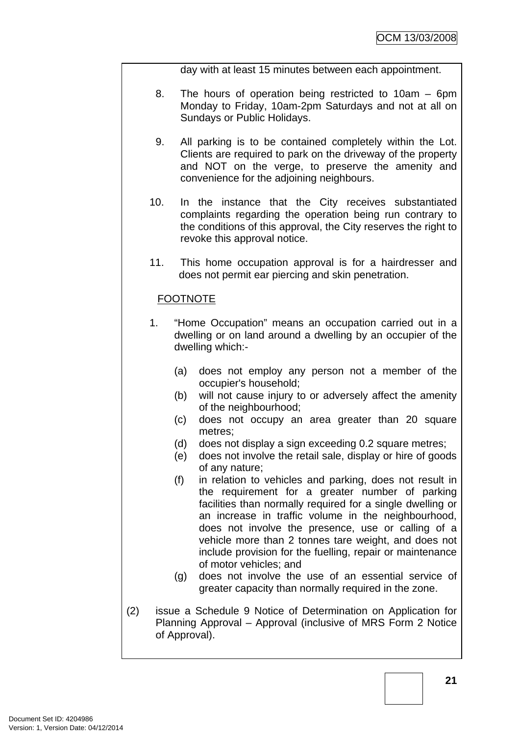day with at least 15 minutes between each appointment.

- 8. The hours of operation being restricted to 10am 6pm Monday to Friday, 10am-2pm Saturdays and not at all on Sundays or Public Holidays.
- 9. All parking is to be contained completely within the Lot. Clients are required to park on the driveway of the property and NOT on the verge, to preserve the amenity and convenience for the adjoining neighbours.
- 10. In the instance that the City receives substantiated complaints regarding the operation being run contrary to the conditions of this approval, the City reserves the right to revoke this approval notice.
- 11. This home occupation approval is for a hairdresser and does not permit ear piercing and skin penetration.

# FOOTNOTE

- 1. "Home Occupation" means an occupation carried out in a dwelling or on land around a dwelling by an occupier of the dwelling which:-
	- (a) does not employ any person not a member of the occupier's household;
	- (b) will not cause injury to or adversely affect the amenity of the neighbourhood;
	- (c) does not occupy an area greater than 20 square metres;
	- (d) does not display a sign exceeding 0.2 square metres;
	- (e) does not involve the retail sale, display or hire of goods of any nature;
	- (f) in relation to vehicles and parking, does not result in the requirement for a greater number of parking facilities than normally required for a single dwelling or an increase in traffic volume in the neighbourhood, does not involve the presence, use or calling of a vehicle more than 2 tonnes tare weight, and does not include provision for the fuelling, repair or maintenance of motor vehicles; and
	- (g) does not involve the use of an essential service of greater capacity than normally required in the zone.
- (2) issue a Schedule 9 Notice of Determination on Application for Planning Approval – Approval (inclusive of MRS Form 2 Notice of Approval).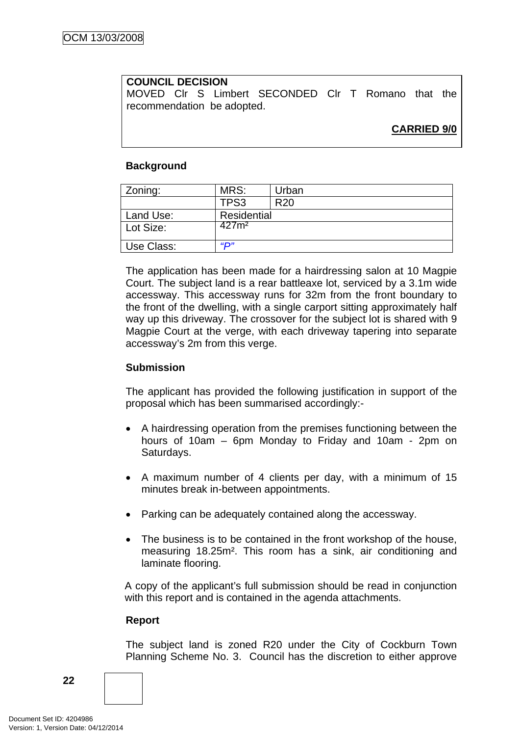#### **COUNCIL DECISION**

MOVED Clr S Limbert SECONDED Clr T Romano that the recommendation be adopted.

# **CARRIED 9/0**

# **Background**

| Zoning:    | MRS:              | Urban           |
|------------|-------------------|-----------------|
|            | TPS3              | R <sub>20</sub> |
| Land Use:  | Residential       |                 |
| Lot Size:  | 427 <sup>m²</sup> |                 |
| Use Class: | $\mu_{\rm D}$     |                 |

The application has been made for a hairdressing salon at 10 Magpie Court. The subject land is a rear battleaxe lot, serviced by a 3.1m wide accessway. This accessway runs for 32m from the front boundary to the front of the dwelling, with a single carport sitting approximately half way up this driveway. The crossover for the subject lot is shared with 9 Magpie Court at the verge, with each driveway tapering into separate accessway's 2m from this verge.

# **Submission**

The applicant has provided the following justification in support of the proposal which has been summarised accordingly:-

- A hairdressing operation from the premises functioning between the hours of 10am – 6pm Monday to Friday and 10am - 2pm on Saturdays.
- A maximum number of 4 clients per day, with a minimum of 15 minutes break in-between appointments.
- Parking can be adequately contained along the accessway.
- The business is to be contained in the front workshop of the house, measuring 18.25m². This room has a sink, air conditioning and laminate flooring.

A copy of the applicant's full submission should be read in conjunction with this report and is contained in the agenda attachments.

# **Report**

The subject land is zoned R20 under the City of Cockburn Town Planning Scheme No. 3. Council has the discretion to either approve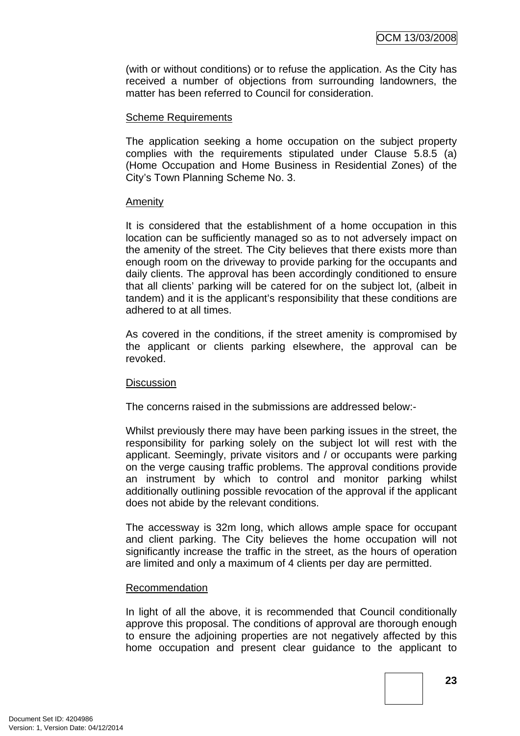(with or without conditions) or to refuse the application. As the City has received a number of objections from surrounding landowners, the matter has been referred to Council for consideration.

#### Scheme Requirements

The application seeking a home occupation on the subject property complies with the requirements stipulated under Clause 5.8.5 (a) (Home Occupation and Home Business in Residential Zones) of the City's Town Planning Scheme No. 3.

#### Amenity

It is considered that the establishment of a home occupation in this location can be sufficiently managed so as to not adversely impact on the amenity of the street. The City believes that there exists more than enough room on the driveway to provide parking for the occupants and daily clients. The approval has been accordingly conditioned to ensure that all clients' parking will be catered for on the subject lot, (albeit in tandem) and it is the applicant's responsibility that these conditions are adhered to at all times.

As covered in the conditions, if the street amenity is compromised by the applicant or clients parking elsewhere, the approval can be revoked.

# **Discussion**

The concerns raised in the submissions are addressed below:-

Whilst previously there may have been parking issues in the street, the responsibility for parking solely on the subject lot will rest with the applicant. Seemingly, private visitors and / or occupants were parking on the verge causing traffic problems. The approval conditions provide an instrument by which to control and monitor parking whilst additionally outlining possible revocation of the approval if the applicant does not abide by the relevant conditions.

The accessway is 32m long, which allows ample space for occupant and client parking. The City believes the home occupation will not significantly increase the traffic in the street, as the hours of operation are limited and only a maximum of 4 clients per day are permitted.

#### Recommendation

In light of all the above, it is recommended that Council conditionally approve this proposal. The conditions of approval are thorough enough to ensure the adjoining properties are not negatively affected by this home occupation and present clear guidance to the applicant to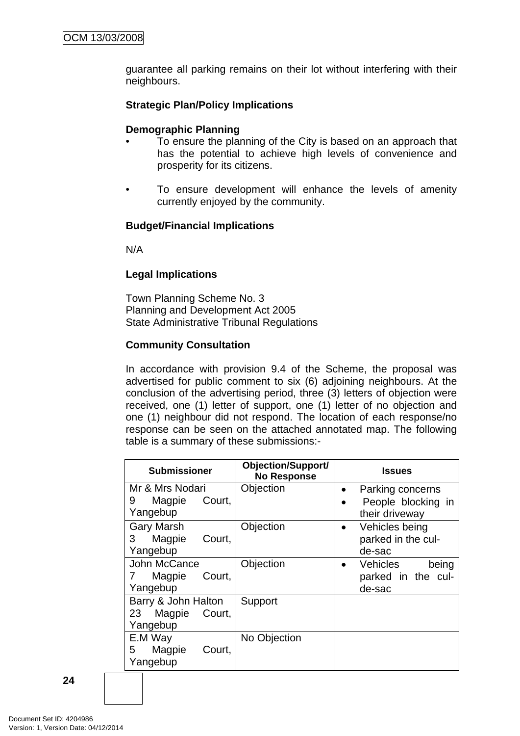guarantee all parking remains on their lot without interfering with their neighbours.

# **Strategic Plan/Policy Implications**

# **Demographic Planning**

- To ensure the planning of the City is based on an approach that has the potential to achieve high levels of convenience and prosperity for its citizens.
- To ensure development will enhance the levels of amenity currently enjoyed by the community.

# **Budget/Financial Implications**

N/A

# **Legal Implications**

Town Planning Scheme No. 3 Planning and Development Act 2005 State Administrative Tribunal Regulations

# **Community Consultation**

In accordance with provision 9.4 of the Scheme, the proposal was advertised for public comment to six (6) adjoining neighbours. At the conclusion of the advertising period, three (3) letters of objection were received, one (1) letter of support, one (1) letter of no objection and one (1) neighbour did not respond. The location of each response/no response can be seen on the attached annotated map. The following table is a summary of these submissions:-

| <b>Submissioner</b>               | <b>Objection/Support/</b><br><b>No Response</b> | <b>Issues</b>                        |  |  |
|-----------------------------------|-------------------------------------------------|--------------------------------------|--|--|
| Mr & Mrs Nodari                   | Objection                                       | Parking concerns<br>$\bullet$        |  |  |
| Court,<br>9<br>Magpie<br>Yangebup |                                                 | People blocking in<br>their driveway |  |  |
| Gary Marsh                        | Objection                                       | Vehicles being<br>$\bullet$          |  |  |
| Magpie<br>3.<br>Court.            |                                                 | parked in the cul-                   |  |  |
| Yangebup                          |                                                 | de-sac                               |  |  |
| John McCance                      | Objection                                       | Vehicles<br>being<br>$\bullet$       |  |  |
| Court,<br>Magpie<br>7             |                                                 | parked in the cul-                   |  |  |
| Yangebup                          |                                                 | de-sac                               |  |  |
| Barry & John Halton               | Support                                         |                                      |  |  |
| 23<br>Magpie<br>Court,            |                                                 |                                      |  |  |
| Yangebup                          |                                                 |                                      |  |  |
| E.M Way                           | No Objection                                    |                                      |  |  |
| 5.<br>Magpie<br>Court,            |                                                 |                                      |  |  |
| Yangebup                          |                                                 |                                      |  |  |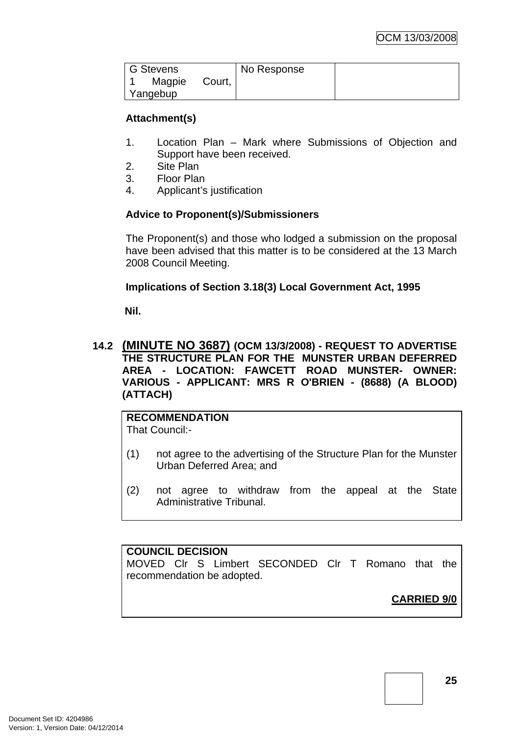<span id="page-28-0"></span>

| G Stevens |        | No Response |  |
|-----------|--------|-------------|--|
| Magpie    | Court, |             |  |
| Yangebup  |        |             |  |

# **Attachment(s)**

- 1. Location Plan Mark where Submissions of Objection and Support have been received.
- 2. Site Plan
- 3. Floor Plan
- 4. Applicant's justification

# **Advice to Proponent(s)/Submissioners**

The Proponent(s) and those who lodged a submission on the proposal have been advised that this matter is to be considered at the 13 March 2008 Council Meeting.

# **Implications of Section 3.18(3) Local Government Act, 1995**

**Nil.** 

# **14.2 (MINUTE NO 3687) (OCM 13/3/2008) - REQUEST TO ADVERTISE THE STRUCTURE PLAN FOR THE MUNSTER URBAN DEFERRED AREA - LOCATION: FAWCETT ROAD MUNSTER- OWNER: VARIOUS - APPLICANT: MRS R O'BRIEN - (8688) (A BLOOD) (ATTACH)**

# **RECOMMENDATION**

That Council:-

- (1) not agree to the advertising of the Structure Plan for the Munster Urban Deferred Area; and
- (2) not agree to withdraw from the appeal at the State Administrative Tribunal.

# **COUNCIL DECISION**

MOVED Clr S Limbert SECONDED Clr T Romano that the recommendation be adopted.

**CARRIED 9/0**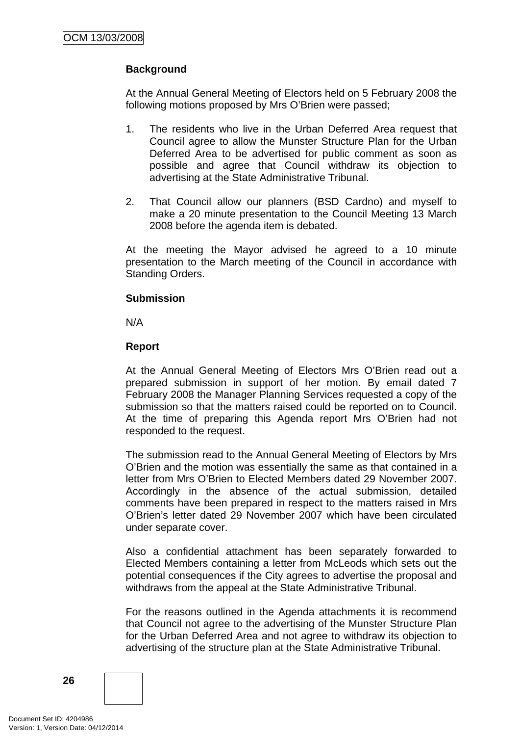# **Background**

At the Annual General Meeting of Electors held on 5 February 2008 the following motions proposed by Mrs O'Brien were passed;

- 1. The residents who live in the Urban Deferred Area request that Council agree to allow the Munster Structure Plan for the Urban Deferred Area to be advertised for public comment as soon as possible and agree that Council withdraw its objection to advertising at the State Administrative Tribunal.
- 2. That Council allow our planners (BSD Cardno) and myself to make a 20 minute presentation to the Council Meeting 13 March 2008 before the agenda item is debated.

At the meeting the Mayor advised he agreed to a 10 minute presentation to the March meeting of the Council in accordance with Standing Orders.

#### **Submission**

N/A

# **Report**

At the Annual General Meeting of Electors Mrs O'Brien read out a prepared submission in support of her motion. By email dated 7 February 2008 the Manager Planning Services requested a copy of the submission so that the matters raised could be reported on to Council. At the time of preparing this Agenda report Mrs O'Brien had not responded to the request.

The submission read to the Annual General Meeting of Electors by Mrs O'Brien and the motion was essentially the same as that contained in a letter from Mrs O'Brien to Elected Members dated 29 November 2007. Accordingly in the absence of the actual submission, detailed comments have been prepared in respect to the matters raised in Mrs O'Brien's letter dated 29 November 2007 which have been circulated under separate cover.

Also a confidential attachment has been separately forwarded to Elected Members containing a letter from McLeods which sets out the potential consequences if the City agrees to advertise the proposal and withdraws from the appeal at the State Administrative Tribunal.

For the reasons outlined in the Agenda attachments it is recommend that Council not agree to the advertising of the Munster Structure Plan for the Urban Deferred Area and not agree to withdraw its objection to advertising of the structure plan at the State Administrative Tribunal.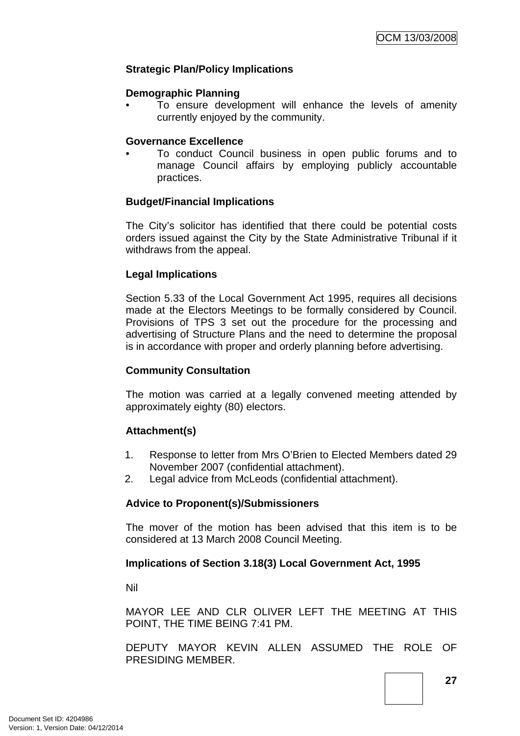# **Strategic Plan/Policy Implications**

#### **Demographic Planning**

• To ensure development will enhance the levels of amenity currently enjoyed by the community.

#### **Governance Excellence**

• To conduct Council business in open public forums and to manage Council affairs by employing publicly accountable practices.

# **Budget/Financial Implications**

The City's solicitor has identified that there could be potential costs orders issued against the City by the State Administrative Tribunal if it withdraws from the appeal.

#### **Legal Implications**

Section 5.33 of the Local Government Act 1995, requires all decisions made at the Electors Meetings to be formally considered by Council. Provisions of TPS 3 set out the procedure for the processing and advertising of Structure Plans and the need to determine the proposal is in accordance with proper and orderly planning before advertising.

#### **Community Consultation**

The motion was carried at a legally convened meeting attended by approximately eighty (80) electors.

# **Attachment(s)**

- 1. Response to letter from Mrs O'Brien to Elected Members dated 29 November 2007 (confidential attachment).
- 2. Legal advice from McLeods (confidential attachment).

# **Advice to Proponent(s)/Submissioners**

The mover of the motion has been advised that this item is to be considered at 13 March 2008 Council Meeting.

# **Implications of Section 3.18(3) Local Government Act, 1995**

Nil

MAYOR LEE AND CLR OLIVER LEFT THE MEETING AT THIS POINT, THE TIME BEING 7:41 PM.

DEPUTY MAYOR KEVIN ALLEN ASSUMED THE ROLE OF PRESIDING MEMBER.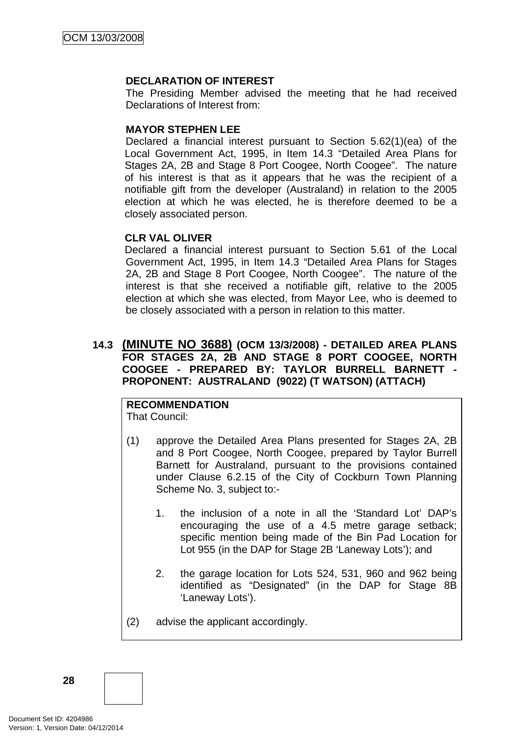#### <span id="page-31-0"></span>**DECLARATION OF INTEREST**

The Presiding Member advised the meeting that he had received Declarations of Interest from:

#### **MAYOR STEPHEN LEE**

Declared a financial interest pursuant to Section 5.62(1)(ea) of the Local Government Act, 1995, in Item 14.3 "Detailed Area Plans for Stages 2A, 2B and Stage 8 Port Coogee, North Coogee". The nature of his interest is that as it appears that he was the recipient of a notifiable gift from the developer (Australand) in relation to the 2005 election at which he was elected, he is therefore deemed to be a closely associated person.

#### **CLR VAL OLIVER**

Declared a financial interest pursuant to Section 5.61 of the Local Government Act, 1995, in Item 14.3 "Detailed Area Plans for Stages 2A, 2B and Stage 8 Port Coogee, North Coogee". The nature of the interest is that she received a notifiable gift, relative to the 2005 election at which she was elected, from Mayor Lee, who is deemed to be closely associated with a person in relation to this matter.

# **14.3 (MINUTE NO 3688) (OCM 13/3/2008) - DETAILED AREA PLANS FOR STAGES 2A, 2B AND STAGE 8 PORT COOGEE, NORTH COOGEE - PREPARED BY: TAYLOR BURRELL BARNETT - PROPONENT: AUSTRALAND (9022) (T WATSON) (ATTACH)**

# **RECOMMENDATION**

That Council:

- (1) approve the Detailed Area Plans presented for Stages 2A, 2B and 8 Port Coogee, North Coogee, prepared by Taylor Burrell Barnett for Australand, pursuant to the provisions contained under Clause 6.2.15 of the City of Cockburn Town Planning Scheme No. 3, subject to:-
	- 1. the inclusion of a note in all the 'Standard Lot' DAP's encouraging the use of a 4.5 metre garage setback; specific mention being made of the Bin Pad Location for Lot 955 (in the DAP for Stage 2B 'Laneway Lots'); and
	- 2. the garage location for Lots 524, 531, 960 and 962 being identified as "Designated" (in the DAP for Stage 8B 'Laneway Lots').

(2) advise the applicant accordingly.

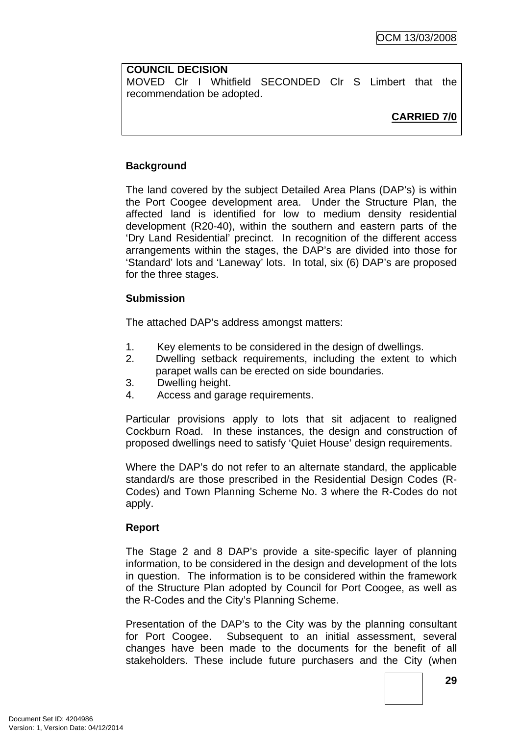# **COUNCIL DECISION**

MOVED Clr I Whitfield SECONDED Clr S Limbert that the recommendation be adopted.

# **CARRIED 7/0**

# **Background**

The land covered by the subject Detailed Area Plans (DAP's) is within the Port Coogee development area. Under the Structure Plan, the affected land is identified for low to medium density residential development (R20-40), within the southern and eastern parts of the 'Dry Land Residential' precinct. In recognition of the different access arrangements within the stages, the DAP's are divided into those for 'Standard' lots and 'Laneway' lots. In total, six (6) DAP's are proposed for the three stages.

# **Submission**

The attached DAP's address amongst matters:

- 1. Key elements to be considered in the design of dwellings.
- 2. Dwelling setback requirements, including the extent to which parapet walls can be erected on side boundaries.
- 3. Dwelling height.
- 4. Access and garage requirements.

Particular provisions apply to lots that sit adjacent to realigned Cockburn Road. In these instances, the design and construction of proposed dwellings need to satisfy 'Quiet House' design requirements.

Where the DAP's do not refer to an alternate standard, the applicable standard/s are those prescribed in the Residential Design Codes (R-Codes) and Town Planning Scheme No. 3 where the R-Codes do not apply.

# **Report**

The Stage 2 and 8 DAP's provide a site-specific layer of planning information, to be considered in the design and development of the lots in question. The information is to be considered within the framework of the Structure Plan adopted by Council for Port Coogee, as well as the R-Codes and the City's Planning Scheme.

Presentation of the DAP's to the City was by the planning consultant for Port Coogee. Subsequent to an initial assessment, several changes have been made to the documents for the benefit of all stakeholders. These include future purchasers and the City (when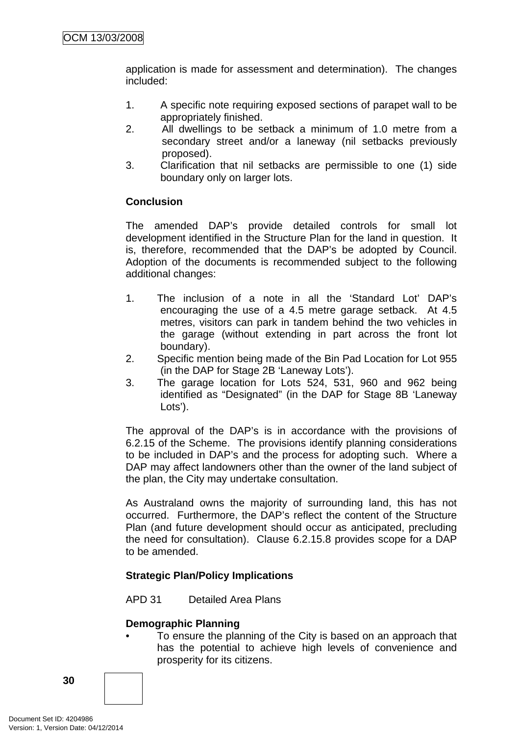application is made for assessment and determination). The changes included:

- 1. A specific note requiring exposed sections of parapet wall to be appropriately finished.
- 2. All dwellings to be setback a minimum of 1.0 metre from a secondary street and/or a laneway (nil setbacks previously proposed).
- 3. Clarification that nil setbacks are permissible to one (1) side boundary only on larger lots.

# **Conclusion**

The amended DAP's provide detailed controls for small lot development identified in the Structure Plan for the land in question. It is, therefore, recommended that the DAP's be adopted by Council. Adoption of the documents is recommended subject to the following additional changes:

- 1. The inclusion of a note in all the 'Standard Lot' DAP's encouraging the use of a 4.5 metre garage setback. At 4.5 metres, visitors can park in tandem behind the two vehicles in the garage (without extending in part across the front lot boundary).
- 2. Specific mention being made of the Bin Pad Location for Lot 955 (in the DAP for Stage 2B 'Laneway Lots').
- 3. The garage location for Lots 524, 531, 960 and 962 being identified as "Designated" (in the DAP for Stage 8B 'Laneway Lots').

The approval of the DAP's is in accordance with the provisions of 6.2.15 of the Scheme. The provisions identify planning considerations to be included in DAP's and the process for adopting such. Where a DAP may affect landowners other than the owner of the land subject of the plan, the City may undertake consultation.

As Australand owns the majority of surrounding land, this has not occurred. Furthermore, the DAP's reflect the content of the Structure Plan (and future development should occur as anticipated, precluding the need for consultation). Clause 6.2.15.8 provides scope for a DAP to be amended.

# **Strategic Plan/Policy Implications**

APD 31 Detailed Area Plans

# **Demographic Planning**

• To ensure the planning of the City is based on an approach that has the potential to achieve high levels of convenience and prosperity for its citizens.

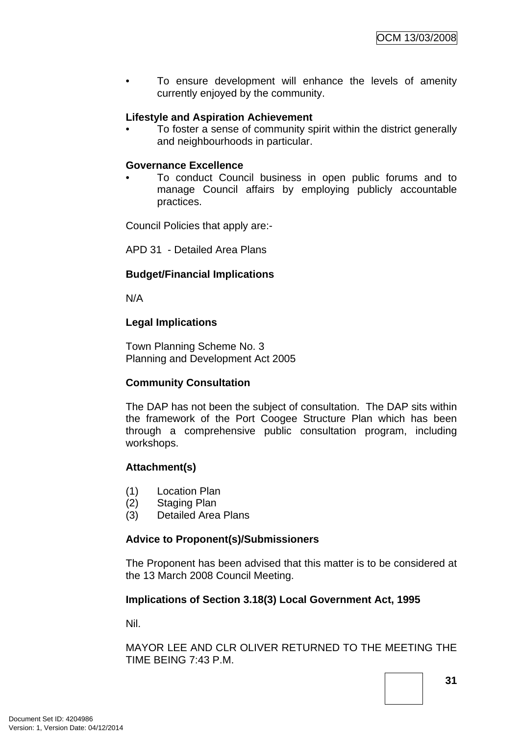To ensure development will enhance the levels of amenity currently enjoyed by the community.

# **Lifestyle and Aspiration Achievement**

• To foster a sense of community spirit within the district generally and neighbourhoods in particular.

# **Governance Excellence**

• To conduct Council business in open public forums and to manage Council affairs by employing publicly accountable practices.

Council Policies that apply are:-

APD 31 - Detailed Area Plans

# **Budget/Financial Implications**

N/A

# **Legal Implications**

Town Planning Scheme No. 3 Planning and Development Act 2005

# **Community Consultation**

The DAP has not been the subject of consultation. The DAP sits within the framework of the Port Coogee Structure Plan which has been through a comprehensive public consultation program, including workshops.

# **Attachment(s)**

- (1) Location Plan
- (2) Staging Plan
- (3) Detailed Area Plans

# **Advice to Proponent(s)/Submissioners**

The Proponent has been advised that this matter is to be considered at the 13 March 2008 Council Meeting.

# **Implications of Section 3.18(3) Local Government Act, 1995**

Nil.

MAYOR LEE AND CLR OLIVER RETURNED TO THE MEETING THE TIME BEING 7:43 P.M.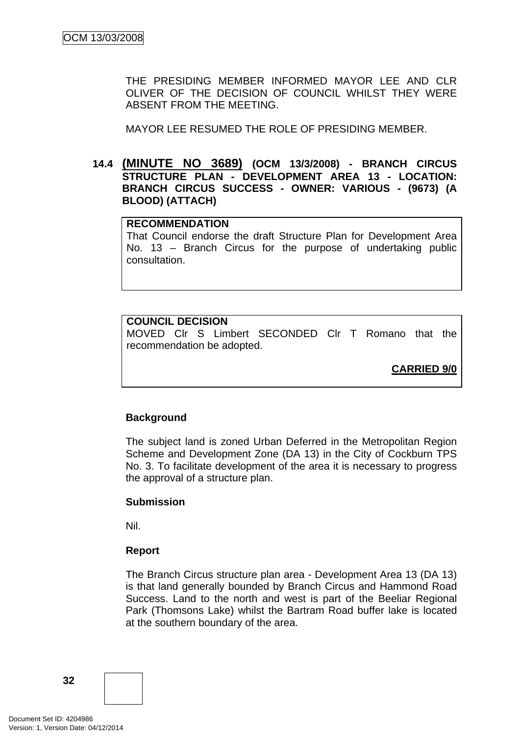<span id="page-35-0"></span>THE PRESIDING MEMBER INFORMED MAYOR LEE AND CLR OLIVER OF THE DECISION OF COUNCIL WHILST THEY WERE ABSENT FROM THE MEETING.

MAYOR LEE RESUMED THE ROLE OF PRESIDING MEMBER.

**14.4 (MINUTE NO 3689) (OCM 13/3/2008) - BRANCH CIRCUS STRUCTURE PLAN - DEVELOPMENT AREA 13 - LOCATION: BRANCH CIRCUS SUCCESS - OWNER: VARIOUS - (9673) (A BLOOD) (ATTACH)** 

#### **RECOMMENDATION**

That Council endorse the draft Structure Plan for Development Area No. 13 – Branch Circus for the purpose of undertaking public consultation.

# **COUNCIL DECISION**

MOVED Clr S Limbert SECONDED Clr T Romano that the recommendation be adopted.

**CARRIED 9/0**

# **Background**

The subject land is zoned Urban Deferred in the Metropolitan Region Scheme and Development Zone (DA 13) in the City of Cockburn TPS No. 3. To facilitate development of the area it is necessary to progress the approval of a structure plan.

# **Submission**

Nil.

# **Report**

The Branch Circus structure plan area - Development Area 13 (DA 13) is that land generally bounded by Branch Circus and Hammond Road Success. Land to the north and west is part of the Beeliar Regional Park (Thomsons Lake) whilst the Bartram Road buffer lake is located at the southern boundary of the area.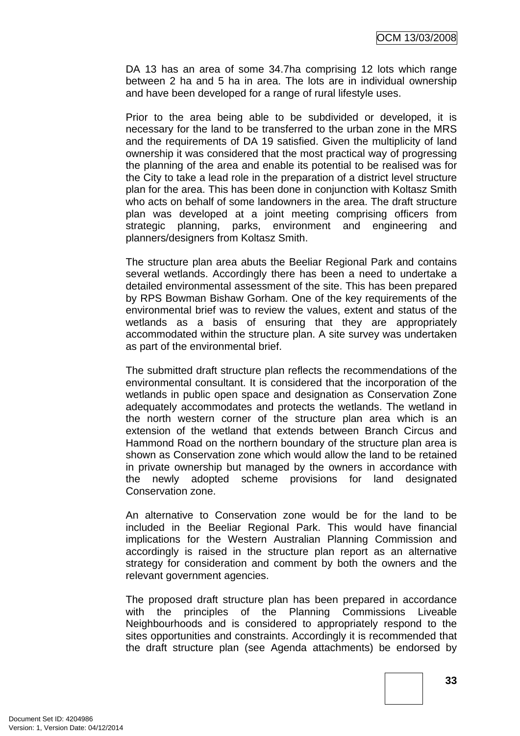DA 13 has an area of some 34.7ha comprising 12 lots which range between 2 ha and 5 ha in area. The lots are in individual ownership and have been developed for a range of rural lifestyle uses.

Prior to the area being able to be subdivided or developed, it is necessary for the land to be transferred to the urban zone in the MRS and the requirements of DA 19 satisfied. Given the multiplicity of land ownership it was considered that the most practical way of progressing the planning of the area and enable its potential to be realised was for the City to take a lead role in the preparation of a district level structure plan for the area. This has been done in conjunction with Koltasz Smith who acts on behalf of some landowners in the area. The draft structure plan was developed at a joint meeting comprising officers from strategic planning, parks, environment and engineering and planners/designers from Koltasz Smith.

The structure plan area abuts the Beeliar Regional Park and contains several wetlands. Accordingly there has been a need to undertake a detailed environmental assessment of the site. This has been prepared by RPS Bowman Bishaw Gorham. One of the key requirements of the environmental brief was to review the values, extent and status of the wetlands as a basis of ensuring that they are appropriately accommodated within the structure plan. A site survey was undertaken as part of the environmental brief.

The submitted draft structure plan reflects the recommendations of the environmental consultant. It is considered that the incorporation of the wetlands in public open space and designation as Conservation Zone adequately accommodates and protects the wetlands. The wetland in the north western corner of the structure plan area which is an extension of the wetland that extends between Branch Circus and Hammond Road on the northern boundary of the structure plan area is shown as Conservation zone which would allow the land to be retained in private ownership but managed by the owners in accordance with the newly adopted scheme provisions for land designated Conservation zone.

An alternative to Conservation zone would be for the land to be included in the Beeliar Regional Park. This would have financial implications for the Western Australian Planning Commission and accordingly is raised in the structure plan report as an alternative strategy for consideration and comment by both the owners and the relevant government agencies.

The proposed draft structure plan has been prepared in accordance with the principles of the Planning Commissions Liveable Neighbourhoods and is considered to appropriately respond to the sites opportunities and constraints. Accordingly it is recommended that the draft structure plan (see Agenda attachments) be endorsed by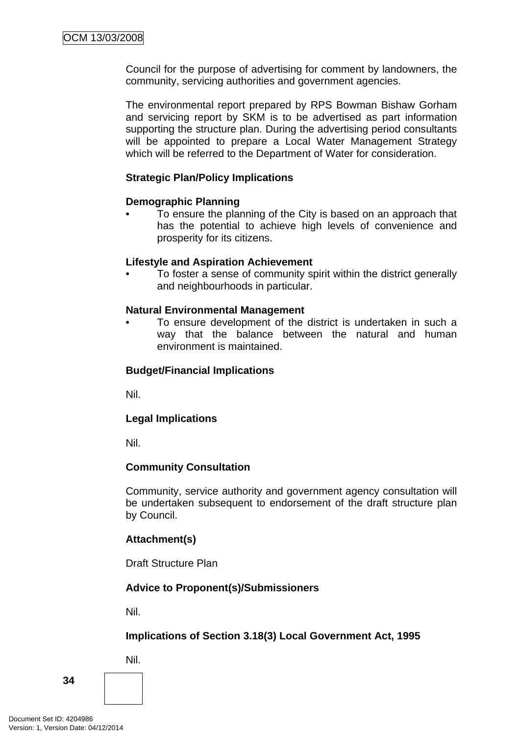Council for the purpose of advertising for comment by landowners, the community, servicing authorities and government agencies.

The environmental report prepared by RPS Bowman Bishaw Gorham and servicing report by SKM is to be advertised as part information supporting the structure plan. During the advertising period consultants will be appointed to prepare a Local Water Management Strategy which will be referred to the Department of Water for consideration.

# **Strategic Plan/Policy Implications**

#### **Demographic Planning**

• To ensure the planning of the City is based on an approach that has the potential to achieve high levels of convenience and prosperity for its citizens.

#### **Lifestyle and Aspiration Achievement**

• To foster a sense of community spirit within the district generally and neighbourhoods in particular.

#### **Natural Environmental Management**

• To ensure development of the district is undertaken in such a way that the balance between the natural and human environment is maintained.

#### **Budget/Financial Implications**

Nil.

# **Legal Implications**

Nil.

# **Community Consultation**

Community, service authority and government agency consultation will be undertaken subsequent to endorsement of the draft structure plan by Council.

# **Attachment(s)**

Draft Structure Plan

# **Advice to Proponent(s)/Submissioners**

Nil.

# **Implications of Section 3.18(3) Local Government Act, 1995**

Nil.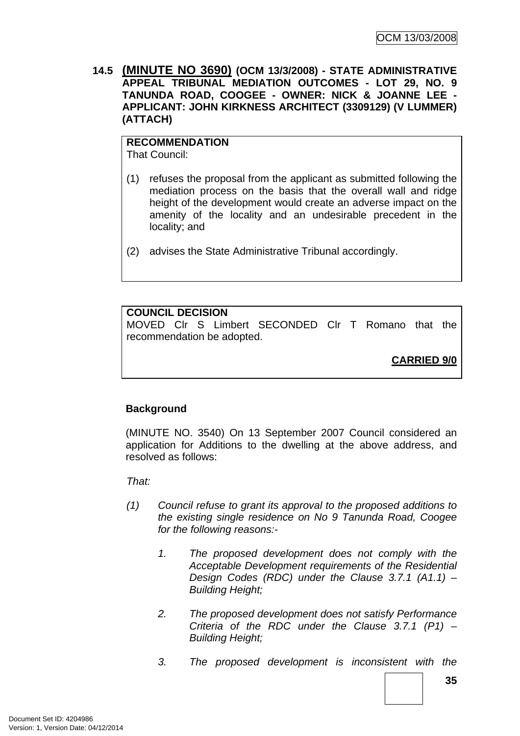<span id="page-38-0"></span>**14.5 (MINUTE NO 3690) (OCM 13/3/2008) - STATE ADMINISTRATIVE APPEAL TRIBUNAL MEDIATION OUTCOMES - LOT 29, NO. 9 TANUNDA ROAD, COOGEE - OWNER: NICK & JOANNE LEE - APPLICANT: JOHN KIRKNESS ARCHITECT (3309129) (V LUMMER) (ATTACH)** 

**RECOMMENDATION** That Council:

- (1) refuses the proposal from the applicant as submitted following the mediation process on the basis that the overall wall and ridge height of the development would create an adverse impact on the amenity of the locality and an undesirable precedent in the locality; and
- (2) advises the State Administrative Tribunal accordingly.

# **COUNCIL DECISION**

MOVED Clr S Limbert SECONDED Clr T Romano that the recommendation be adopted.

**CARRIED 9/0**

# **Background**

(MINUTE NO. 3540) On 13 September 2007 Council considered an application for Additions to the dwelling at the above address, and resolved as follows:

*That:* 

- *(1) Council refuse to grant its approval to the proposed additions to the existing single residence on No 9 Tanunda Road, Coogee for the following reasons:-* 
	- *1. The proposed development does not comply with the Acceptable Development requirements of the Residential Design Codes (RDC) under the Clause 3.7.1 (A1.1) – Building Height;*
	- *2. The proposed development does not satisfy Performance Criteria of the RDC under the Clause 3.7.1 (P1) – Building Height;*
	- *3. The proposed development is inconsistent with the*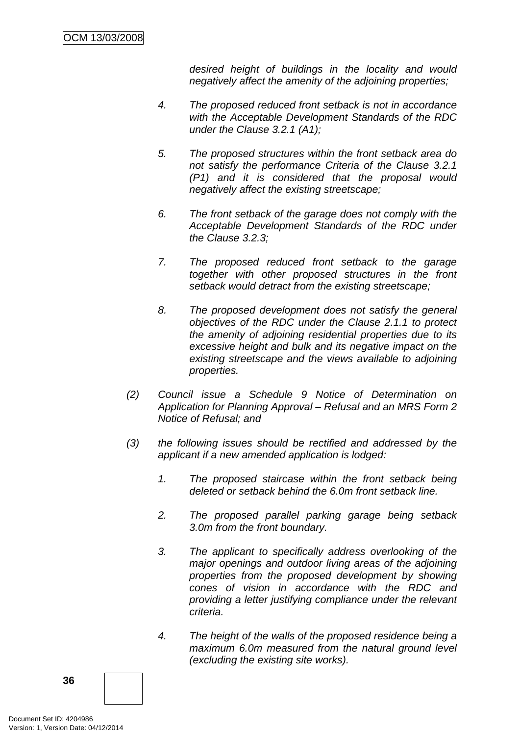*desired height of buildings in the locality and would negatively affect the amenity of the adjoining properties;* 

- *4. The proposed reduced front setback is not in accordance with the Acceptable Development Standards of the RDC under the Clause 3.2.1 (A1);*
- *5. The proposed structures within the front setback area do not satisfy the performance Criteria of the Clause 3.2.1 (P1) and it is considered that the proposal would negatively affect the existing streetscape;*
- *6. The front setback of the garage does not comply with the Acceptable Development Standards of the RDC under the Clause 3.2.3;*
- *7. The proposed reduced front setback to the garage together with other proposed structures in the front setback would detract from the existing streetscape;*
- *8. The proposed development does not satisfy the general objectives of the RDC under the Clause 2.1.1 to protect the amenity of adjoining residential properties due to its excessive height and bulk and its negative impact on the existing streetscape and the views available to adjoining properties.*
- *(2) Council issue a Schedule 9 Notice of Determination on Application for Planning Approval – Refusal and an MRS Form 2 Notice of Refusal; and*
- *(3) the following issues should be rectified and addressed by the applicant if a new amended application is lodged:* 
	- *1. The proposed staircase within the front setback being deleted or setback behind the 6.0m front setback line.*
	- *2. The proposed parallel parking garage being setback 3.0m from the front boundary.*
	- *3. The applicant to specifically address overlooking of the major openings and outdoor living areas of the adjoining properties from the proposed development by showing cones of vision in accordance with the RDC and providing a letter justifying compliance under the relevant criteria.*
	- *4. The height of the walls of the proposed residence being a maximum 6.0m measured from the natural ground level (excluding the existing site works).*

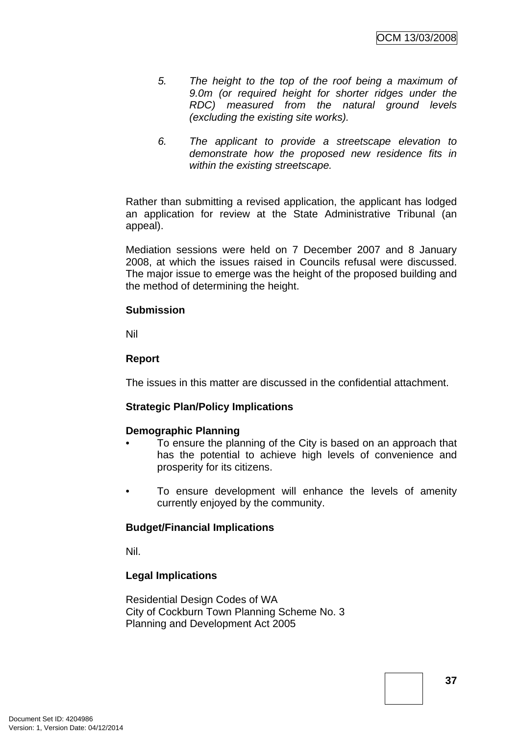- *5. The height to the top of the roof being a maximum of 9.0m (or required height for shorter ridges under the RDC) measured from the natural ground levels (excluding the existing site works).*
- *6. The applicant to provide a streetscape elevation to demonstrate how the proposed new residence fits in within the existing streetscape.*

Rather than submitting a revised application, the applicant has lodged an application for review at the State Administrative Tribunal (an appeal).

Mediation sessions were held on 7 December 2007 and 8 January 2008, at which the issues raised in Councils refusal were discussed. The major issue to emerge was the height of the proposed building and the method of determining the height.

#### **Submission**

Nil

# **Report**

The issues in this matter are discussed in the confidential attachment.

# **Strategic Plan/Policy Implications**

# **Demographic Planning**

- To ensure the planning of the City is based on an approach that has the potential to achieve high levels of convenience and prosperity for its citizens.
- To ensure development will enhance the levels of amenity currently enjoyed by the community.

# **Budget/Financial Implications**

Nil.

# **Legal Implications**

Residential Design Codes of WA City of Cockburn Town Planning Scheme No. 3 Planning and Development Act 2005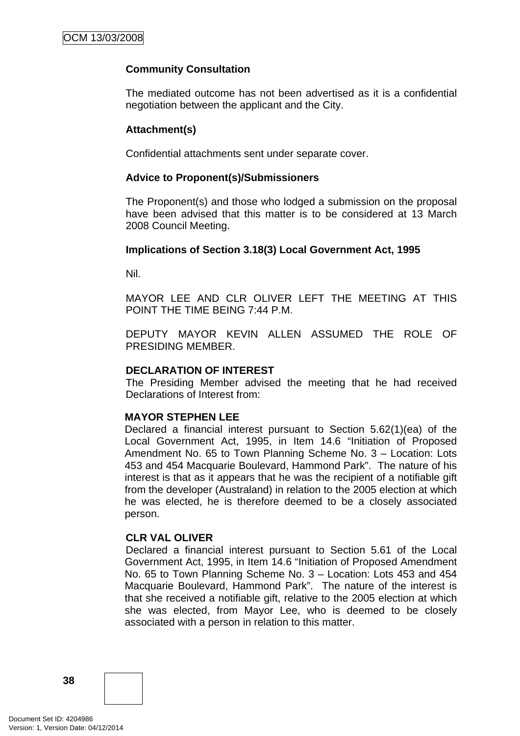# **Community Consultation**

The mediated outcome has not been advertised as it is a confidential negotiation between the applicant and the City.

# **Attachment(s)**

Confidential attachments sent under separate cover.

#### **Advice to Proponent(s)/Submissioners**

The Proponent(s) and those who lodged a submission on the proposal have been advised that this matter is to be considered at 13 March 2008 Council Meeting.

#### **Implications of Section 3.18(3) Local Government Act, 1995**

Nil.

MAYOR LEE AND CLR OLIVER LEFT THE MEETING AT THIS POINT THE TIME BEING 7:44 P.M.

DEPUTY MAYOR KEVIN ALLEN ASSUMED THE ROLE OF PRESIDING MEMBER.

#### **DECLARATION OF INTEREST**

The Presiding Member advised the meeting that he had received Declarations of Interest from:

#### **MAYOR STEPHEN LEE**

Declared a financial interest pursuant to Section 5.62(1)(ea) of the Local Government Act, 1995, in Item 14.6 "Initiation of Proposed Amendment No. 65 to Town Planning Scheme No. 3 – Location: Lots 453 and 454 Macquarie Boulevard, Hammond Park". The nature of his interest is that as it appears that he was the recipient of a notifiable gift from the developer (Australand) in relation to the 2005 election at which he was elected, he is therefore deemed to be a closely associated person.

#### **CLR VAL OLIVER**

Declared a financial interest pursuant to Section 5.61 of the Local Government Act, 1995, in Item 14.6 "Initiation of Proposed Amendment No. 65 to Town Planning Scheme No. 3 – Location: Lots 453 and 454 Macquarie Boulevard, Hammond Park". The nature of the interest is that she received a notifiable gift, relative to the 2005 election at which she was elected, from Mayor Lee, who is deemed to be closely associated with a person in relation to this matter.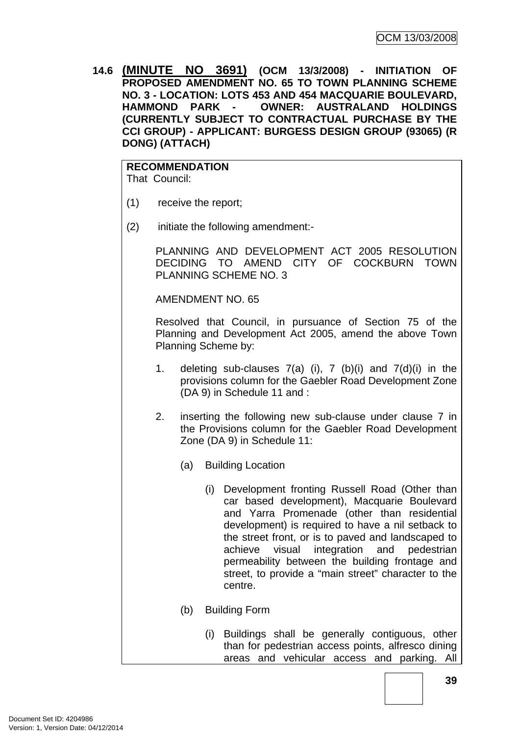<span id="page-42-0"></span>**14.6 (MINUTE NO 3691) (OCM 13/3/2008) - INITIATION OF PROPOSED AMENDMENT NO. 65 TO TOWN PLANNING SCHEME NO. 3 - LOCATION: LOTS 453 AND 454 MACQUARIE BOULEVARD, HAMMOND PARK - OWNER: AUSTRALAND HOLDINGS (CURRENTLY SUBJECT TO CONTRACTUAL PURCHASE BY THE CCI GROUP) - APPLICANT: BURGESS DESIGN GROUP (93065) (R DONG) (ATTACH)** 

# **RECOMMENDATION**

That Council:

- (1) receive the report;
- (2) initiate the following amendment:-

PLANNING AND DEVELOPMENT ACT 2005 RESOLUTION DECIDING TO AMEND CITY OF COCKBURN TOWN PLANNING SCHEME NO. 3

AMENDMENT NO. 65

Resolved that Council, in pursuance of Section 75 of the Planning and Development Act 2005, amend the above Town Planning Scheme by:

- 1. deleting sub-clauses 7(a) (i), 7 (b)(i) and 7(d)(i) in the provisions column for the Gaebler Road Development Zone (DA 9) in Schedule 11 and :
- 2. inserting the following new sub-clause under clause 7 in the Provisions column for the Gaebler Road Development Zone (DA 9) in Schedule 11:
	- (a) Building Location
		- (i) Development fronting Russell Road (Other than car based development), Macquarie Boulevard and Yarra Promenade (other than residential development) is required to have a nil setback to the street front, or is to paved and landscaped to achieve visual integration and pedestrian permeability between the building frontage and street, to provide a "main street" character to the centre.
	- (b) Building Form
		- (i) Buildings shall be generally contiguous, other than for pedestrian access points, alfresco dining areas and vehicular access and parking. All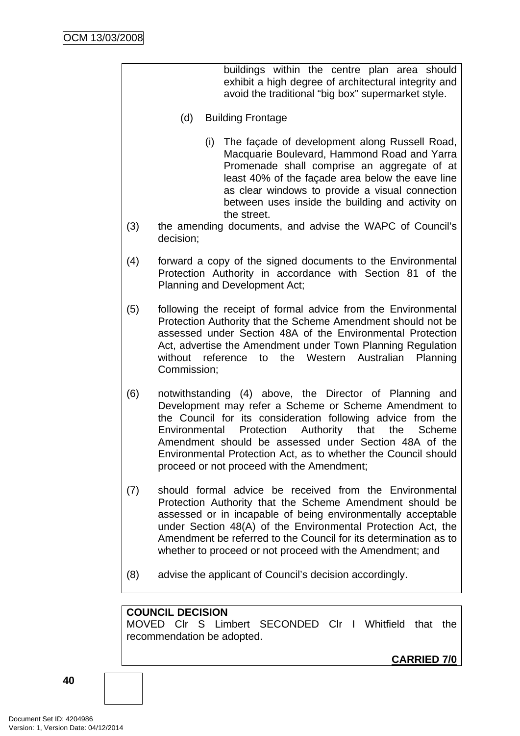buildings within the centre plan area should exhibit a high degree of architectural integrity and avoid the traditional "big box" supermarket style.

- (d) Building Frontage
	- (i) The façade of development along Russell Road, Macquarie Boulevard, Hammond Road and Yarra Promenade shall comprise an aggregate of at least 40% of the façade area below the eave line as clear windows to provide a visual connection between uses inside the building and activity on the street.
- (3) the amending documents, and advise the WAPC of Council's decision;
- (4) forward a copy of the signed documents to the Environmental Protection Authority in accordance with Section 81 of the Planning and Development Act;
- (5) following the receipt of formal advice from the Environmental Protection Authority that the Scheme Amendment should not be assessed under Section 48A of the Environmental Protection Act, advertise the Amendment under Town Planning Regulation without reference to the Western Australian Planning Commission;
- (6) notwithstanding (4) above, the Director of Planning and Development may refer a Scheme or Scheme Amendment to the Council for its consideration following advice from the Environmental Protection Authority that the Scheme Amendment should be assessed under Section 48A of the Environmental Protection Act, as to whether the Council should proceed or not proceed with the Amendment;
- (7) should formal advice be received from the Environmental Protection Authority that the Scheme Amendment should be assessed or in incapable of being environmentally acceptable under Section 48(A) of the Environmental Protection Act, the Amendment be referred to the Council for its determination as to whether to proceed or not proceed with the Amendment; and
- (8) advise the applicant of Council's decision accordingly.

# **COUNCIL DECISION**

MOVED Clr S Limbert SECONDED Clr I Whitfield that the recommendation be adopted.

**CARRIED 7/0**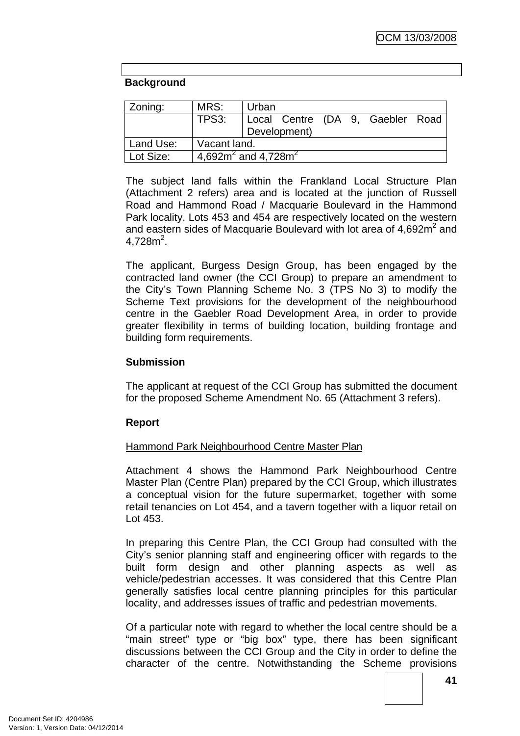# **Background**

| Zoning:   | MRS:                        | Urban |              |  |                                  |  |
|-----------|-----------------------------|-------|--------------|--|----------------------------------|--|
|           | TPS3:                       |       |              |  | Local Centre (DA 9, Gaebler Road |  |
|           |                             |       | Development) |  |                                  |  |
| Land Use: | Vacant land.                |       |              |  |                                  |  |
| Lot Size: | 4,692 $m^2$ and 4,728 $m^2$ |       |              |  |                                  |  |

The subject land falls within the Frankland Local Structure Plan (Attachment 2 refers) area and is located at the junction of Russell Road and Hammond Road / Macquarie Boulevard in the Hammond Park locality. Lots 453 and 454 are respectively located on the western and eastern sides of Macquarie Boulevard with lot area of  $4,692m^2$  and  $4,728m^2$ .

The applicant, Burgess Design Group, has been engaged by the contracted land owner (the CCI Group) to prepare an amendment to the City's Town Planning Scheme No. 3 (TPS No 3) to modify the Scheme Text provisions for the development of the neighbourhood centre in the Gaebler Road Development Area, in order to provide greater flexibility in terms of building location, building frontage and building form requirements.

# **Submission**

The applicant at request of the CCI Group has submitted the document for the proposed Scheme Amendment No. 65 (Attachment 3 refers).

# **Report**

# Hammond Park Neighbourhood Centre Master Plan

Attachment 4 shows the Hammond Park Neighbourhood Centre Master Plan (Centre Plan) prepared by the CCI Group, which illustrates a conceptual vision for the future supermarket, together with some retail tenancies on Lot 454, and a tavern together with a liquor retail on Lot 453.

In preparing this Centre Plan, the CCI Group had consulted with the City's senior planning staff and engineering officer with regards to the built form design and other planning aspects as well as vehicle/pedestrian accesses. It was considered that this Centre Plan generally satisfies local centre planning principles for this particular locality, and addresses issues of traffic and pedestrian movements.

Of a particular note with regard to whether the local centre should be a "main street" type or "big box" type, there has been significant discussions between the CCI Group and the City in order to define the character of the centre. Notwithstanding the Scheme provisions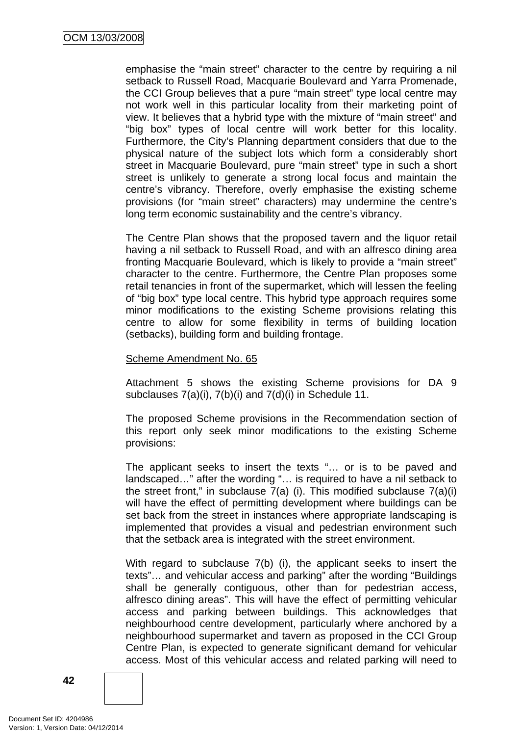emphasise the "main street" character to the centre by requiring a nil setback to Russell Road, Macquarie Boulevard and Yarra Promenade, the CCI Group believes that a pure "main street" type local centre may not work well in this particular locality from their marketing point of view. It believes that a hybrid type with the mixture of "main street" and "big box" types of local centre will work better for this locality. Furthermore, the City's Planning department considers that due to the physical nature of the subject lots which form a considerably short street in Macquarie Boulevard, pure "main street" type in such a short street is unlikely to generate a strong local focus and maintain the centre's vibrancy. Therefore, overly emphasise the existing scheme provisions (for "main street" characters) may undermine the centre's long term economic sustainability and the centre's vibrancy.

The Centre Plan shows that the proposed tavern and the liquor retail having a nil setback to Russell Road, and with an alfresco dining area fronting Macquarie Boulevard, which is likely to provide a "main street" character to the centre. Furthermore, the Centre Plan proposes some retail tenancies in front of the supermarket, which will lessen the feeling of "big box" type local centre. This hybrid type approach requires some minor modifications to the existing Scheme provisions relating this centre to allow for some flexibility in terms of building location (setbacks), building form and building frontage.

#### Scheme Amendment No. 65

Attachment 5 shows the existing Scheme provisions for DA 9 subclauses 7(a)(i), 7(b)(i) and 7(d)(i) in Schedule 11.

The proposed Scheme provisions in the Recommendation section of this report only seek minor modifications to the existing Scheme provisions:

The applicant seeks to insert the texts "… or is to be paved and landscaped…" after the wording "… is required to have a nil setback to the street front," in subclause  $7(a)$  (i). This modified subclause  $7(a)(i)$ will have the effect of permitting development where buildings can be set back from the street in instances where appropriate landscaping is implemented that provides a visual and pedestrian environment such that the setback area is integrated with the street environment.

With regard to subclause 7(b) (i), the applicant seeks to insert the texts"… and vehicular access and parking" after the wording "Buildings shall be generally contiguous, other than for pedestrian access, alfresco dining areas". This will have the effect of permitting vehicular access and parking between buildings. This acknowledges that neighbourhood centre development, particularly where anchored by a neighbourhood supermarket and tavern as proposed in the CCI Group Centre Plan, is expected to generate significant demand for vehicular access. Most of this vehicular access and related parking will need to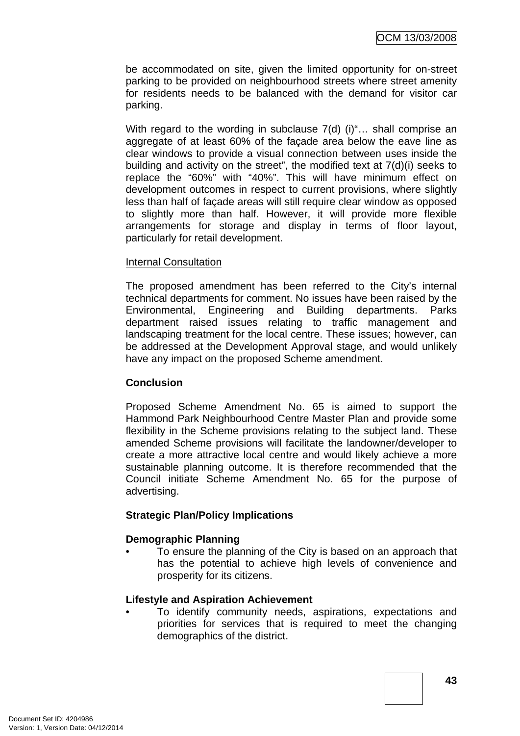be accommodated on site, given the limited opportunity for on-street parking to be provided on neighbourhood streets where street amenity for residents needs to be balanced with the demand for visitor car parking.

With regard to the wording in subclause 7(d) (i)"... shall comprise an aggregate of at least 60% of the facade area below the eave line as clear windows to provide a visual connection between uses inside the building and activity on the street", the modified text at 7(d)(i) seeks to replace the "60%" with "40%". This will have minimum effect on development outcomes in respect to current provisions, where slightly less than half of façade areas will still require clear window as opposed to slightly more than half. However, it will provide more flexible arrangements for storage and display in terms of floor layout, particularly for retail development.

# Internal Consultation

The proposed amendment has been referred to the City's internal technical departments for comment. No issues have been raised by the Environmental, Engineering and Building departments. Parks department raised issues relating to traffic management and landscaping treatment for the local centre. These issues; however, can be addressed at the Development Approval stage, and would unlikely have any impact on the proposed Scheme amendment.

# **Conclusion**

Proposed Scheme Amendment No. 65 is aimed to support the Hammond Park Neighbourhood Centre Master Plan and provide some flexibility in the Scheme provisions relating to the subject land. These amended Scheme provisions will facilitate the landowner/developer to create a more attractive local centre and would likely achieve a more sustainable planning outcome. It is therefore recommended that the Council initiate Scheme Amendment No. 65 for the purpose of advertising.

# **Strategic Plan/Policy Implications**

# **Demographic Planning**

• To ensure the planning of the City is based on an approach that has the potential to achieve high levels of convenience and prosperity for its citizens.

# **Lifestyle and Aspiration Achievement**

• To identify community needs, aspirations, expectations and priorities for services that is required to meet the changing demographics of the district.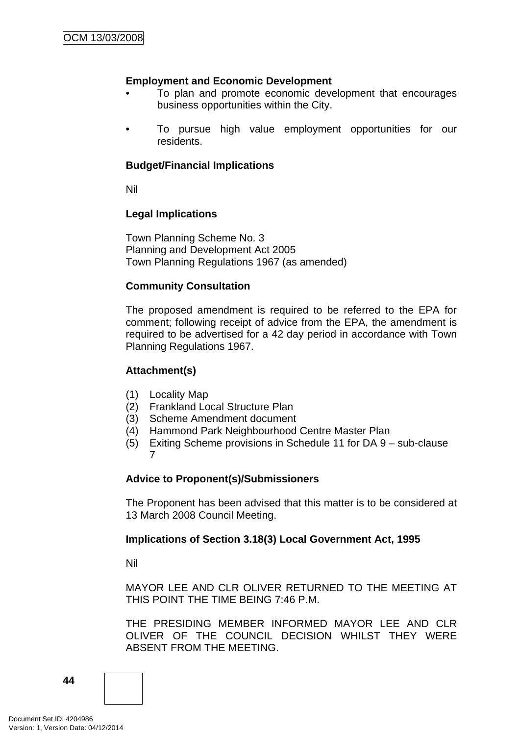#### **Employment and Economic Development**

- To plan and promote economic development that encourages business opportunities within the City.
- To pursue high value employment opportunities for our residents.

#### **Budget/Financial Implications**

Nil

#### **Legal Implications**

Town Planning Scheme No. 3 Planning and Development Act 2005 Town Planning Regulations 1967 (as amended)

#### **Community Consultation**

The proposed amendment is required to be referred to the EPA for comment; following receipt of advice from the EPA, the amendment is required to be advertised for a 42 day period in accordance with Town Planning Regulations 1967.

#### **Attachment(s)**

- (1) Locality Map
- (2) Frankland Local Structure Plan
- (3) Scheme Amendment document
- (4) Hammond Park Neighbourhood Centre Master Plan
- (5) Exiting Scheme provisions in Schedule 11 for DA 9 sub-clause 7

# **Advice to Proponent(s)/Submissioners**

The Proponent has been advised that this matter is to be considered at 13 March 2008 Council Meeting.

#### **Implications of Section 3.18(3) Local Government Act, 1995**

Nil

MAYOR LEE AND CLR OLIVER RETURNED TO THE MEETING AT THIS POINT THE TIME BEING 7:46 P.M.

THE PRESIDING MEMBER INFORMED MAYOR LEE AND CLR OLIVER OF THE COUNCIL DECISION WHILST THEY WERE ABSENT FROM THE MEETING.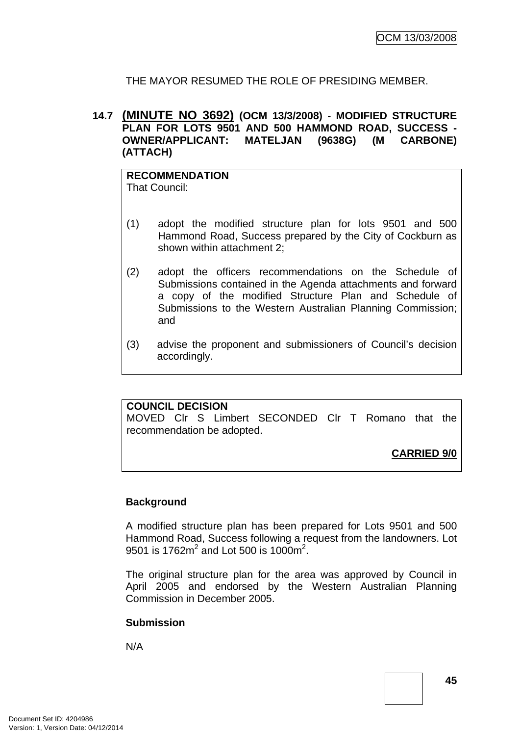# THE MAYOR RESUMED THE ROLE OF PRESIDING MEMBER.

# <span id="page-48-0"></span>**14.7 (MINUTE NO 3692) (OCM 13/3/2008) - MODIFIED STRUCTURE PLAN FOR LOTS 9501 AND 500 HAMMOND ROAD, SUCCESS - OWNER/APPLICANT: MATELJAN (9638G) (M CARBONE) (ATTACH)**

**RECOMMENDATION** That Council:

- (1) adopt the modified structure plan for lots 9501 and 500 Hammond Road, Success prepared by the City of Cockburn as shown within attachment 2;
- (2) adopt the officers recommendations on the Schedule of Submissions contained in the Agenda attachments and forward a copy of the modified Structure Plan and Schedule of Submissions to the Western Australian Planning Commission; and
- (3) advise the proponent and submissioners of Council's decision accordingly.

#### **COUNCIL DECISION**

MOVED Clr S Limbert SECONDED Clr T Romano that the recommendation be adopted.

**CARRIED 9/0**

# **Background**

A modified structure plan has been prepared for Lots 9501 and 500 Hammond Road, Success following a request from the landowners. Lot 9501 is 1762 $m^2$  and Lot 500 is 1000 $m^2$ .

The original structure plan for the area was approved by Council in April 2005 and endorsed by the Western Australian Planning Commission in December 2005.

# **Submission**

N/A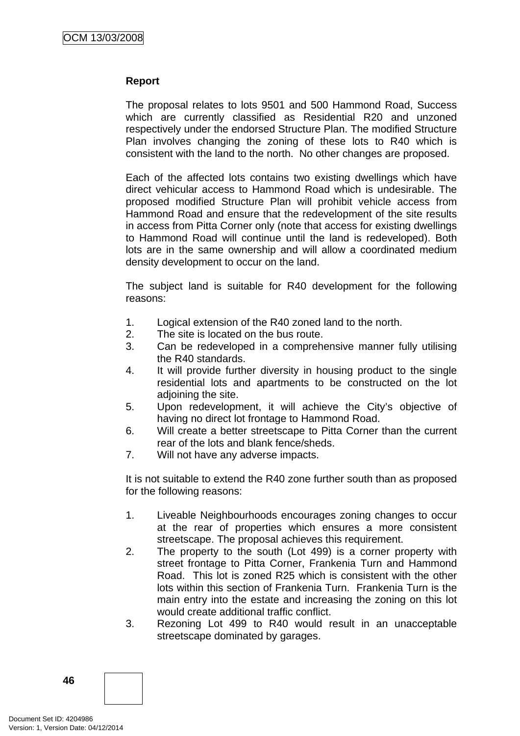#### **Report**

The proposal relates to lots 9501 and 500 Hammond Road, Success which are currently classified as Residential R20 and unzoned respectively under the endorsed Structure Plan. The modified Structure Plan involves changing the zoning of these lots to R40 which is consistent with the land to the north. No other changes are proposed.

Each of the affected lots contains two existing dwellings which have direct vehicular access to Hammond Road which is undesirable. The proposed modified Structure Plan will prohibit vehicle access from Hammond Road and ensure that the redevelopment of the site results in access from Pitta Corner only (note that access for existing dwellings to Hammond Road will continue until the land is redeveloped). Both lots are in the same ownership and will allow a coordinated medium density development to occur on the land.

The subject land is suitable for R40 development for the following reasons:

- 1. Logical extension of the R40 zoned land to the north.
- 2. The site is located on the bus route.
- 3. Can be redeveloped in a comprehensive manner fully utilising the R40 standards.
- 4. It will provide further diversity in housing product to the single residential lots and apartments to be constructed on the lot adjoining the site.
- 5. Upon redevelopment, it will achieve the City's objective of having no direct lot frontage to Hammond Road.
- 6. Will create a better streetscape to Pitta Corner than the current rear of the lots and blank fence/sheds.
- 7. Will not have any adverse impacts.

It is not suitable to extend the R40 zone further south than as proposed for the following reasons:

- 1. Liveable Neighbourhoods encourages zoning changes to occur at the rear of properties which ensures a more consistent streetscape. The proposal achieves this requirement.
- 2. The property to the south (Lot 499) is a corner property with street frontage to Pitta Corner, Frankenia Turn and Hammond Road. This lot is zoned R25 which is consistent with the other lots within this section of Frankenia Turn. Frankenia Turn is the main entry into the estate and increasing the zoning on this lot would create additional traffic conflict.
- 3. Rezoning Lot 499 to R40 would result in an unacceptable streetscape dominated by garages.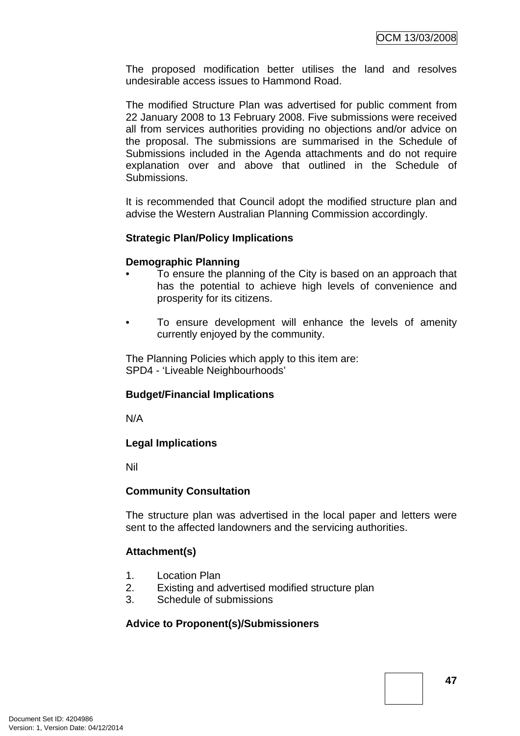The proposed modification better utilises the land and resolves undesirable access issues to Hammond Road.

The modified Structure Plan was advertised for public comment from 22 January 2008 to 13 February 2008. Five submissions were received all from services authorities providing no objections and/or advice on the proposal. The submissions are summarised in the Schedule of Submissions included in the Agenda attachments and do not require explanation over and above that outlined in the Schedule of **Submissions.** 

It is recommended that Council adopt the modified structure plan and advise the Western Australian Planning Commission accordingly.

# **Strategic Plan/Policy Implications**

#### **Demographic Planning**

- To ensure the planning of the City is based on an approach that has the potential to achieve high levels of convenience and prosperity for its citizens.
- To ensure development will enhance the levels of amenity currently enjoyed by the community.

The Planning Policies which apply to this item are: SPD4 - 'Liveable Neighbourhoods'

# **Budget/Financial Implications**

N/A

# **Legal Implications**

Nil

# **Community Consultation**

The structure plan was advertised in the local paper and letters were sent to the affected landowners and the servicing authorities.

# **Attachment(s)**

- 1. Location Plan
- 2. Existing and advertised modified structure plan
- 3. Schedule of submissions

# **Advice to Proponent(s)/Submissioners**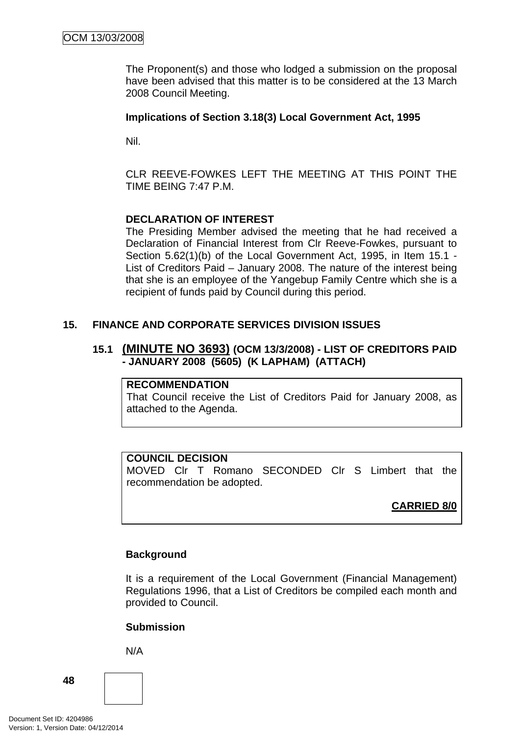<span id="page-51-0"></span>The Proponent(s) and those who lodged a submission on the proposal have been advised that this matter is to be considered at the 13 March 2008 Council Meeting.

#### **Implications of Section 3.18(3) Local Government Act, 1995**

Nil.

CLR REEVE-FOWKES LEFT THE MEETING AT THIS POINT THE TIME BEING 7:47 P.M.

#### **DECLARATION OF INTEREST**

The Presiding Member advised the meeting that he had received a Declaration of Financial Interest from Clr Reeve-Fowkes, pursuant to Section 5.62(1)(b) of the Local Government Act, 1995, in Item 15.1 - List of Creditors Paid – January 2008. The nature of the interest being that she is an employee of the Yangebup Family Centre which she is a recipient of funds paid by Council during this period.

# **15. FINANCE AND CORPORATE SERVICES DIVISION ISSUES**

# **15.1 (MINUTE NO 3693) (OCM 13/3/2008) - LIST OF CREDITORS PAID - JANUARY 2008 (5605) (K LAPHAM) (ATTACH)**

# **RECOMMENDATION**

That Council receive the List of Creditors Paid for January 2008, as attached to the Agenda.

#### **COUNCIL DECISION**

MOVED Clr T Romano SECONDED Clr S Limbert that the recommendation be adopted.

# **CARRIED 8/0**

#### **Background**

It is a requirement of the Local Government (Financial Management) Regulations 1996, that a List of Creditors be compiled each month and provided to Council.

#### **Submission**



Document Set ID: 4204986<br>Version: 1, Version Date: 04/12/2014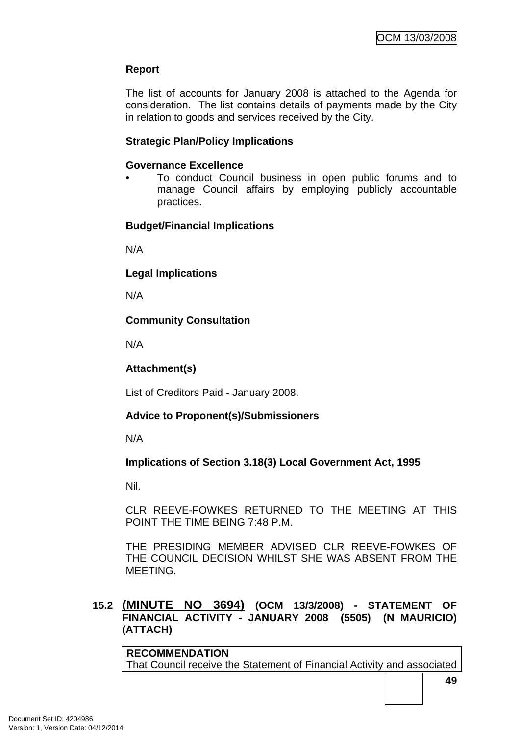# <span id="page-52-0"></span>**Report**

The list of accounts for January 2008 is attached to the Agenda for consideration. The list contains details of payments made by the City in relation to goods and services received by the City.

# **Strategic Plan/Policy Implications**

# **Governance Excellence**

• To conduct Council business in open public forums and to manage Council affairs by employing publicly accountable practices.

# **Budget/Financial Implications**

N/A

**Legal Implications** 

N/A

# **Community Consultation**

N/A

# **Attachment(s)**

List of Creditors Paid - January 2008.

# **Advice to Proponent(s)/Submissioners**

N/A

# **Implications of Section 3.18(3) Local Government Act, 1995**

Nil.

CLR REEVE-FOWKES RETURNED TO THE MEETING AT THIS POINT THE TIME BEING 7:48 P.M.

THE PRESIDING MEMBER ADVISED CLR REEVE-FOWKES OF THE COUNCIL DECISION WHILST SHE WAS ABSENT FROM THE MEETING.

# **15.2 (MINUTE NO 3694) (OCM 13/3/2008) - STATEMENT OF FINANCIAL ACTIVITY - JANUARY 2008 (5505) (N MAURICIO) (ATTACH)**

**RECOMMENDATION** That Council receive the Statement of Financial Activity and associated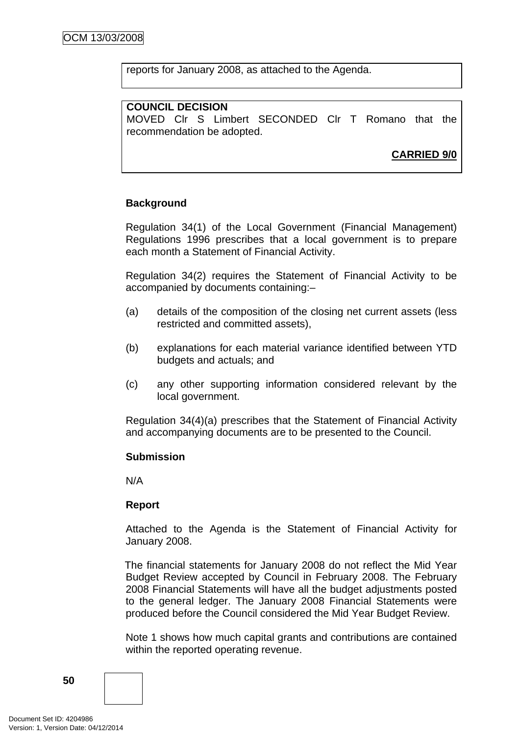reports for January 2008, as attached to the Agenda.

# **COUNCIL DECISION**

MOVED Clr S Limbert SECONDED Clr T Romano that the recommendation be adopted.

**CARRIED 9/0**

# **Background**

Regulation 34(1) of the Local Government (Financial Management) Regulations 1996 prescribes that a local government is to prepare each month a Statement of Financial Activity.

Regulation 34(2) requires the Statement of Financial Activity to be accompanied by documents containing:–

- (a) details of the composition of the closing net current assets (less restricted and committed assets),
- (b) explanations for each material variance identified between YTD budgets and actuals; and
- (c) any other supporting information considered relevant by the local government.

Regulation 34(4)(a) prescribes that the Statement of Financial Activity and accompanying documents are to be presented to the Council.

# **Submission**

N/A

# **Report**

Attached to the Agenda is the Statement of Financial Activity for January 2008.

The financial statements for January 2008 do not reflect the Mid Year Budget Review accepted by Council in February 2008. The February 2008 Financial Statements will have all the budget adjustments posted to the general ledger. The January 2008 Financial Statements were produced before the Council considered the Mid Year Budget Review.

Note 1 shows how much capital grants and contributions are contained within the reported operating revenue.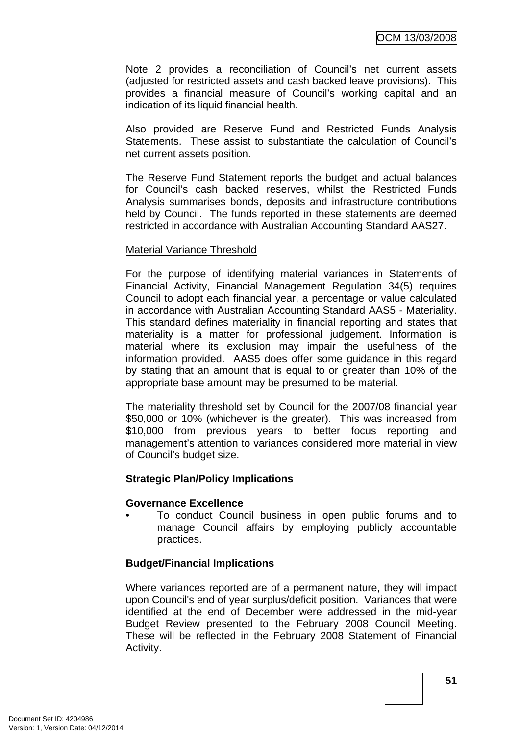Note 2 provides a reconciliation of Council's net current assets (adjusted for restricted assets and cash backed leave provisions). This provides a financial measure of Council's working capital and an indication of its liquid financial health.

Also provided are Reserve Fund and Restricted Funds Analysis Statements. These assist to substantiate the calculation of Council's net current assets position.

The Reserve Fund Statement reports the budget and actual balances for Council's cash backed reserves, whilst the Restricted Funds Analysis summarises bonds, deposits and infrastructure contributions held by Council. The funds reported in these statements are deemed restricted in accordance with Australian Accounting Standard AAS27.

#### Material Variance Threshold

For the purpose of identifying material variances in Statements of Financial Activity, Financial Management Regulation 34(5) requires Council to adopt each financial year, a percentage or value calculated in accordance with Australian Accounting Standard AAS5 - Materiality. This standard defines materiality in financial reporting and states that materiality is a matter for professional judgement. Information is material where its exclusion may impair the usefulness of the information provided. AAS5 does offer some guidance in this regard by stating that an amount that is equal to or greater than 10% of the appropriate base amount may be presumed to be material.

The materiality threshold set by Council for the 2007/08 financial year \$50,000 or 10% (whichever is the greater). This was increased from \$10,000 from previous years to better focus reporting and management's attention to variances considered more material in view of Council's budget size.

# **Strategic Plan/Policy Implications**

#### **Governance Excellence**

• To conduct Council business in open public forums and to manage Council affairs by employing publicly accountable practices.

# **Budget/Financial Implications**

Where variances reported are of a permanent nature, they will impact upon Council's end of year surplus/deficit position. Variances that were identified at the end of December were addressed in the mid-year Budget Review presented to the February 2008 Council Meeting. These will be reflected in the February 2008 Statement of Financial Activity.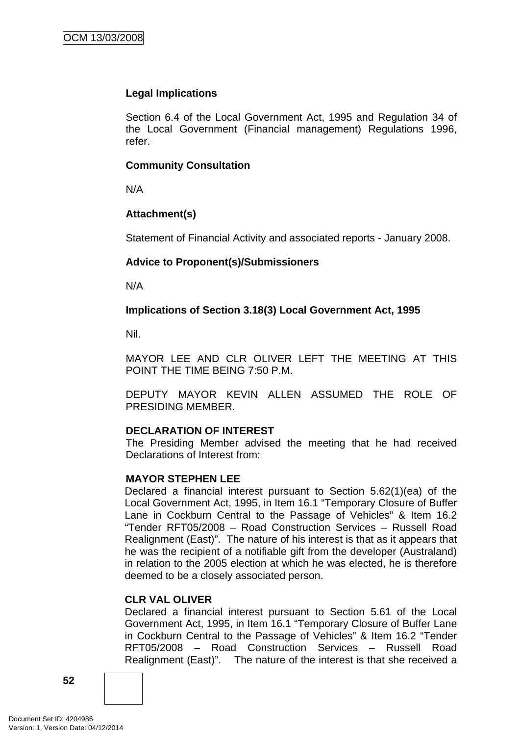#### **Legal Implications**

Section 6.4 of the Local Government Act, 1995 and Regulation 34 of the Local Government (Financial management) Regulations 1996, refer.

#### **Community Consultation**

N/A

# **Attachment(s)**

Statement of Financial Activity and associated reports - January 2008.

# **Advice to Proponent(s)/Submissioners**

N/A

**Implications of Section 3.18(3) Local Government Act, 1995**

Nil.

MAYOR LEE AND CLR OLIVER LEFT THE MEETING AT THIS POINT THE TIME BEING 7:50 P.M.

DEPUTY MAYOR KEVIN ALLEN ASSUMED THE ROLE OF PRESIDING MEMBER.

# **DECLARATION OF INTEREST**

The Presiding Member advised the meeting that he had received Declarations of Interest from:

# **MAYOR STEPHEN LEE**

Declared a financial interest pursuant to Section 5.62(1)(ea) of the Local Government Act, 1995, in Item 16.1 "Temporary Closure of Buffer Lane in Cockburn Central to the Passage of Vehicles" & Item 16.2 "Tender RFT05/2008 – Road Construction Services – Russell Road Realignment (East)". The nature of his interest is that as it appears that he was the recipient of a notifiable gift from the developer (Australand) in relation to the 2005 election at which he was elected, he is therefore deemed to be a closely associated person.

# **CLR VAL OLIVER**

Declared a financial interest pursuant to Section 5.61 of the Local Government Act, 1995, in Item 16.1 "Temporary Closure of Buffer Lane in Cockburn Central to the Passage of Vehicles" & Item 16.2 "Tender RFT05/2008 – Road Construction Services – Russell Road Realignment (East)". The nature of the interest is that she received a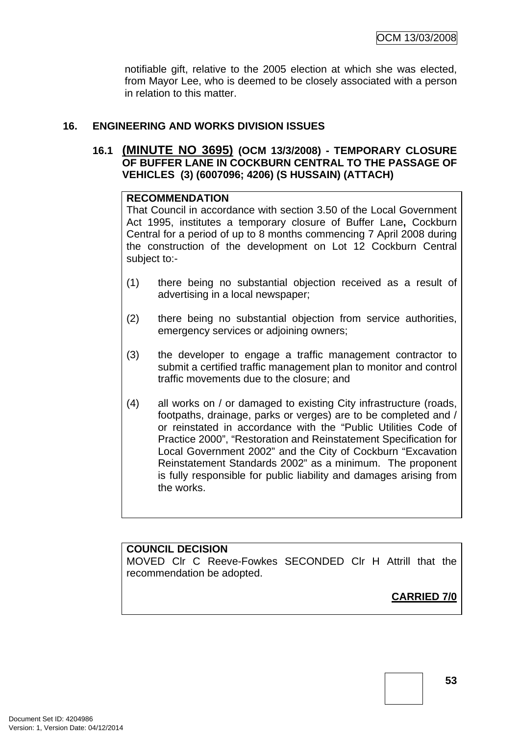notifiable gift, relative to the 2005 election at which she was elected, from Mayor Lee, who is deemed to be closely associated with a person in relation to this matter.

# <span id="page-56-0"></span>**16. ENGINEERING AND WORKS DIVISION ISSUES**

**16.1 (MINUTE NO 3695) (OCM 13/3/2008) - TEMPORARY CLOSURE OF BUFFER LANE IN COCKBURN CENTRAL TO THE PASSAGE OF VEHICLES (3) (6007096; 4206) (S HUSSAIN) (ATTACH)** 

# **RECOMMENDATION**

That Council in accordance with section 3.50 of the Local Government Act 1995, institutes a temporary closure of Buffer Lane**,** Cockburn Central for a period of up to 8 months commencing 7 April 2008 during the construction of the development on Lot 12 Cockburn Central subject to:-

- (1) there being no substantial objection received as a result of advertising in a local newspaper;
- (2) there being no substantial objection from service authorities, emergency services or adjoining owners;
- (3) the developer to engage a traffic management contractor to submit a certified traffic management plan to monitor and control traffic movements due to the closure; and
- (4) all works on / or damaged to existing City infrastructure (roads, footpaths, drainage, parks or verges) are to be completed and / or reinstated in accordance with the "Public Utilities Code of Practice 2000", "Restoration and Reinstatement Specification for Local Government 2002" and the City of Cockburn "Excavation Reinstatement Standards 2002" as a minimum. The proponent is fully responsible for public liability and damages arising from the works.

#### **COUNCIL DECISION**

MOVED Clr C Reeve-Fowkes SECONDED Clr H Attrill that the recommendation be adopted.

**CARRIED 7/0**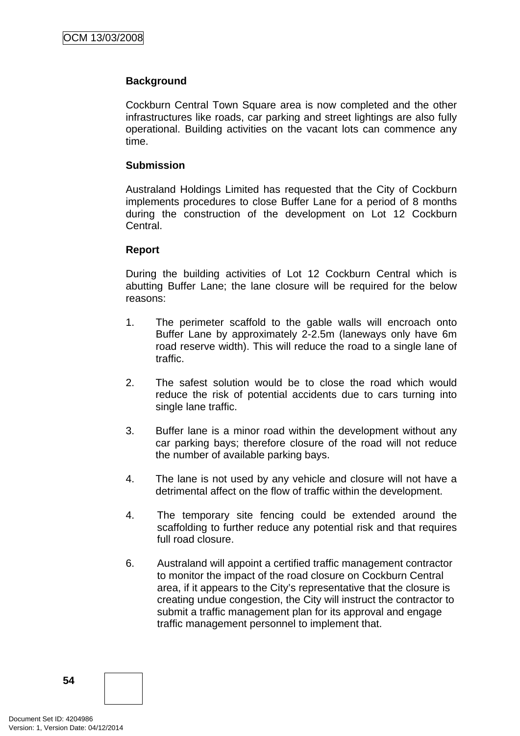# **Background**

Cockburn Central Town Square area is now completed and the other infrastructures like roads, car parking and street lightings are also fully operational. Building activities on the vacant lots can commence any time.

#### **Submission**

Australand Holdings Limited has requested that the City of Cockburn implements procedures to close Buffer Lane for a period of 8 months during the construction of the development on Lot 12 Cockburn Central.

#### **Report**

During the building activities of Lot 12 Cockburn Central which is abutting Buffer Lane; the lane closure will be required for the below reasons:

- 1. The perimeter scaffold to the gable walls will encroach onto Buffer Lane by approximately 2-2.5m (laneways only have 6m road reserve width). This will reduce the road to a single lane of traffic.
- 2. The safest solution would be to close the road which would reduce the risk of potential accidents due to cars turning into single lane traffic.
- 3. Buffer lane is a minor road within the development without any car parking bays; therefore closure of the road will not reduce the number of available parking bays.
- 4. The lane is not used by any vehicle and closure will not have a detrimental affect on the flow of traffic within the development.
- 4. The temporary site fencing could be extended around the scaffolding to further reduce any potential risk and that requires full road closure.
- 6. Australand will appoint a certified traffic management contractor to monitor the impact of the road closure on Cockburn Central area, if it appears to the City's representative that the closure is creating undue congestion, the City will instruct the contractor to submit a traffic management plan for its approval and engage traffic management personnel to implement that.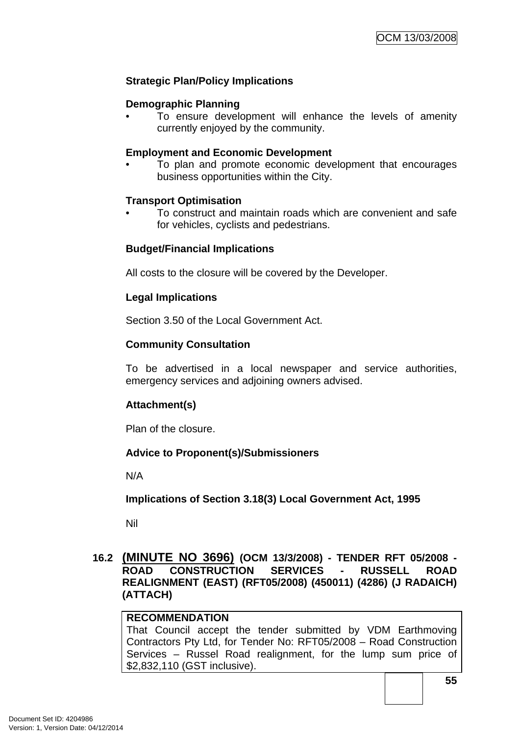# <span id="page-58-0"></span>**Strategic Plan/Policy Implications**

# **Demographic Planning**

To ensure development will enhance the levels of amenity currently enjoyed by the community.

#### **Employment and Economic Development**

• To plan and promote economic development that encourages business opportunities within the City.

#### **Transport Optimisation**

• To construct and maintain roads which are convenient and safe for vehicles, cyclists and pedestrians.

#### **Budget/Financial Implications**

All costs to the closure will be covered by the Developer.

#### **Legal Implications**

Section 3.50 of the Local Government Act.

#### **Community Consultation**

To be advertised in a local newspaper and service authorities, emergency services and adjoining owners advised.

# **Attachment(s)**

Plan of the closure.

#### **Advice to Proponent(s)/Submissioners**

N/A

#### **Implications of Section 3.18(3) Local Government Act, 1995**

Nil

# **16.2 (MINUTE NO 3696) (OCM 13/3/2008) - TENDER RFT 05/2008 - ROAD CONSTRUCTION SERVICES - RUSSELL ROAD REALIGNMENT (EAST) (RFT05/2008) (450011) (4286) (J RADAICH) (ATTACH)**

# **RECOMMENDATION**

That Council accept the tender submitted by VDM Earthmoving Contractors Pty Ltd, for Tender No: RFT05/2008 – Road Construction Services – Russel Road realignment, for the lump sum price of \$2,832,110 (GST inclusive).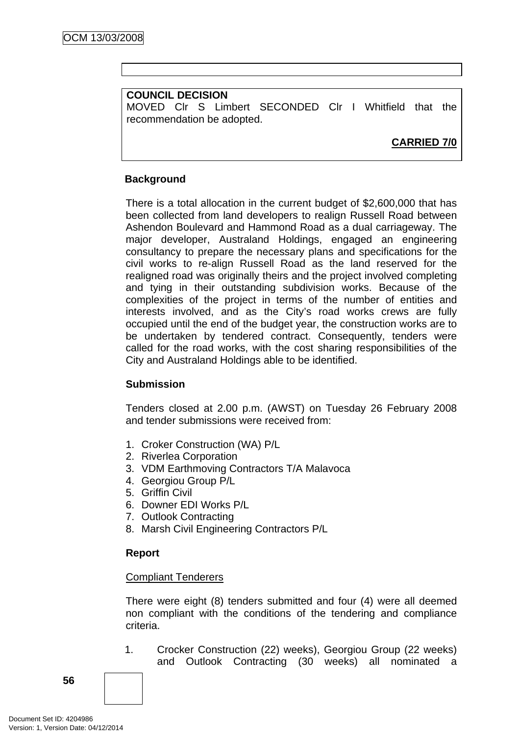**COUNCIL DECISION** MOVED Clr S Limbert SECONDED Clr I Whitfield that the recommendation be adopted.

**CARRIED 7/0**

# **Background**

There is a total allocation in the current budget of \$2,600,000 that has been collected from land developers to realign Russell Road between Ashendon Boulevard and Hammond Road as a dual carriageway. The major developer, Australand Holdings, engaged an engineering consultancy to prepare the necessary plans and specifications for the civil works to re-align Russell Road as the land reserved for the realigned road was originally theirs and the project involved completing and tying in their outstanding subdivision works. Because of the complexities of the project in terms of the number of entities and interests involved, and as the City's road works crews are fully occupied until the end of the budget year, the construction works are to be undertaken by tendered contract. Consequently, tenders were called for the road works, with the cost sharing responsibilities of the City and Australand Holdings able to be identified.

# **Submission**

Tenders closed at 2.00 p.m. (AWST) on Tuesday 26 February 2008 and tender submissions were received from:

- 1. Croker Construction (WA) P/L
- 2. Riverlea Corporation
- 3. VDM Earthmoving Contractors T/A Malavoca
- 4. Georgiou Group P/L
- 5. Griffin Civil
- 6. Downer EDI Works P/L
- 7. Outlook Contracting
- 8. Marsh Civil Engineering Contractors P/L

# **Report**

# Compliant Tenderers

There were eight (8) tenders submitted and four (4) were all deemed non compliant with the conditions of the tendering and compliance criteria.

1. Crocker Construction (22) weeks), Georgiou Group (22 weeks) and Outlook Contracting (30 weeks) all nominated a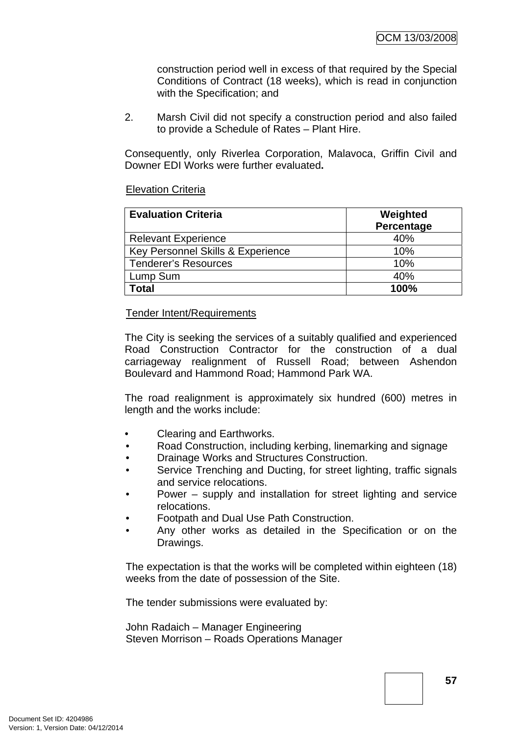construction period well in excess of that required by the Special Conditions of Contract (18 weeks), which is read in conjunction with the Specification; and

2. Marsh Civil did not specify a construction period and also failed to provide a Schedule of Rates – Plant Hire.

Consequently, only Riverlea Corporation, Malavoca, Griffin Civil and Downer EDI Works were further evaluated**.** 

# Elevation Criteria

| <b>Evaluation Criteria</b>        | Weighted   |  |  |
|-----------------------------------|------------|--|--|
|                                   | Percentage |  |  |
| <b>Relevant Experience</b>        | 40%        |  |  |
| Key Personnel Skills & Experience | 10%        |  |  |
| <b>Tenderer's Resources</b>       | 10%        |  |  |
| Lump Sum                          | 40%        |  |  |
| Γotal                             | 100%       |  |  |

# Tender Intent/Requirements

The City is seeking the services of a suitably qualified and experienced Road Construction Contractor for the construction of a dual carriageway realignment of Russell Road; between Ashendon Boulevard and Hammond Road; Hammond Park WA.

The road realignment is approximately six hundred (600) metres in length and the works include:

- Clearing and Earthworks.
- Road Construction, including kerbing, linemarking and signage
- Drainage Works and Structures Construction.
- Service Trenching and Ducting, for street lighting, traffic signals and service relocations.
- Power supply and installation for street lighting and service relocations.
- Footpath and Dual Use Path Construction.
- Any other works as detailed in the Specification or on the Drawings.

The expectation is that the works will be completed within eighteen (18) weeks from the date of possession of the Site.

The tender submissions were evaluated by:

John Radaich – Manager Engineering Steven Morrison – Roads Operations Manager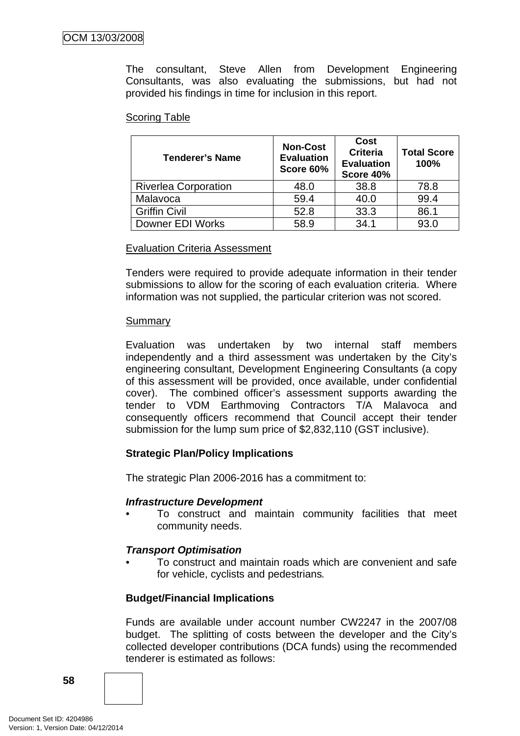The consultant, Steve Allen from Development Engineering Consultants, was also evaluating the submissions, but had not provided his findings in time for inclusion in this report.

# Scoring Table

| <b>Tenderer's Name</b>      | <b>Non-Cost</b><br><b>Evaluation</b><br>Score 60% | Cost<br><b>Criteria</b><br><b>Evaluation</b><br>Score 40% | <b>Total Score</b><br>100% |
|-----------------------------|---------------------------------------------------|-----------------------------------------------------------|----------------------------|
| <b>Riverlea Corporation</b> | 48.0                                              | 38.8                                                      | 78.8                       |
| Malavoca                    | 59.4                                              | 40.0                                                      | 99.4                       |
| <b>Griffin Civil</b>        | 52.8                                              | 33.3                                                      | 86.1                       |
| Downer EDI Works            | 58.9                                              | 34.1                                                      | 93.0                       |

# Evaluation Criteria Assessment

Tenders were required to provide adequate information in their tender submissions to allow for the scoring of each evaluation criteria. Where information was not supplied, the particular criterion was not scored.

#### Summary

Evaluation was undertaken by two internal staff members independently and a third assessment was undertaken by the City's engineering consultant, Development Engineering Consultants (a copy of this assessment will be provided, once available, under confidential cover). The combined officer's assessment supports awarding the tender to VDM Earthmoving Contractors T/A Malavoca and consequently officers recommend that Council accept their tender submission for the lump sum price of \$2,832,110 (GST inclusive).

# **Strategic Plan/Policy Implications**

The strategic Plan 2006-2016 has a commitment to:

# *Infrastructure Development*

*•* To construct and maintain community facilities that meet community needs.

# *Transport Optimisation*

*•* To construct and maintain roads which are convenient and safe for vehicle, cyclists and pedestrians*.* 

# **Budget/Financial Implications**

Funds are available under account number CW2247 in the 2007/08 budget. The splitting of costs between the developer and the City's collected developer contributions (DCA funds) using the recommended tenderer is estimated as follows: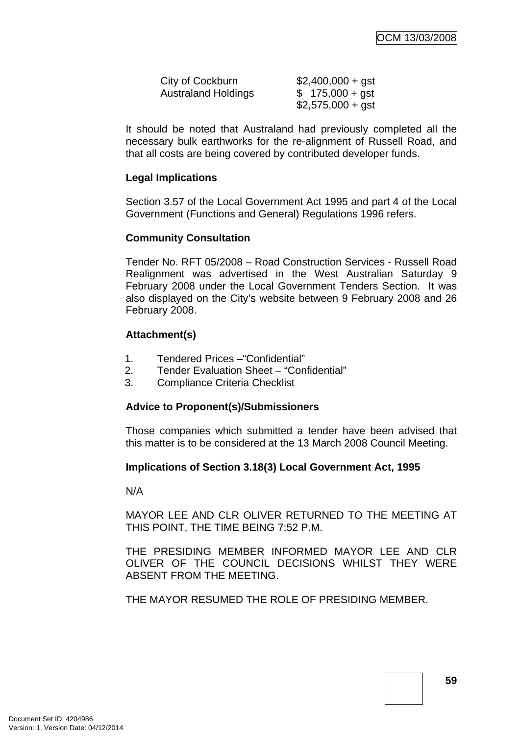| City of Cockburn           | $$2,400,000 + gst$ |
|----------------------------|--------------------|
| <b>Australand Holdings</b> | $$175,000 + gst$   |
|                            | $$2,575,000 + gst$ |

It should be noted that Australand had previously completed all the necessary bulk earthworks for the re-alignment of Russell Road, and that all costs are being covered by contributed developer funds.

#### **Legal Implications**

Section 3.57 of the Local Government Act 1995 and part 4 of the Local Government (Functions and General) Regulations 1996 refers.

#### **Community Consultation**

Tender No. RFT 05/2008 – Road Construction Services - Russell Road Realignment was advertised in the West Australian Saturday 9 February 2008 under the Local Government Tenders Section. It was also displayed on the City's website between 9 February 2008 and 26 February 2008.

#### **Attachment(s)**

- 1. Tendered Prices –"Confidential"
- 2. Tender Evaluation Sheet "Confidential"
- 3. Compliance Criteria Checklist

#### **Advice to Proponent(s)/Submissioners**

Those companies which submitted a tender have been advised that this matter is to be considered at the 13 March 2008 Council Meeting.

#### **Implications of Section 3.18(3) Local Government Act, 1995**

N/A

MAYOR LEE AND CLR OLIVER RETURNED TO THE MEETING AT THIS POINT, THE TIME BEING 7:52 P.M.

THE PRESIDING MEMBER INFORMED MAYOR LEE AND CLR OLIVER OF THE COUNCIL DECISIONS WHILST THEY WERE ABSENT FROM THE MEETING.

THE MAYOR RESUMED THE ROLE OF PRESIDING MEMBER.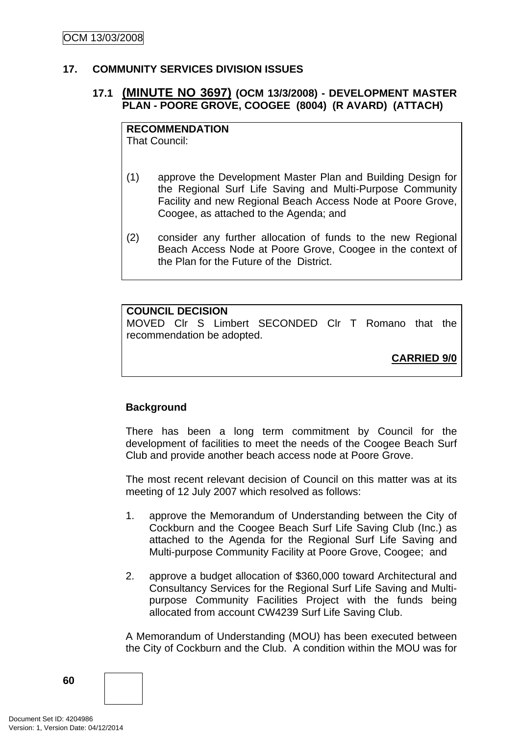# <span id="page-63-0"></span>**17. COMMUNITY SERVICES DIVISION ISSUES**

# **17.1 (MINUTE NO 3697) (OCM 13/3/2008) - DEVELOPMENT MASTER PLAN - POORE GROVE, COOGEE (8004) (R AVARD) (ATTACH)**

# **RECOMMENDATION**

That Council:

- (1) approve the Development Master Plan and Building Design for the Regional Surf Life Saving and Multi-Purpose Community Facility and new Regional Beach Access Node at Poore Grove, Coogee, as attached to the Agenda; and
- (2) consider any further allocation of funds to the new Regional Beach Access Node at Poore Grove, Coogee in the context of the Plan for the Future of the District.

# **COUNCIL DECISION**

MOVED Clr S Limbert SECONDED Clr T Romano that the recommendation be adopted.

**CARRIED 9/0**

# **Background**

There has been a long term commitment by Council for the development of facilities to meet the needs of the Coogee Beach Surf Club and provide another beach access node at Poore Grove.

The most recent relevant decision of Council on this matter was at its meeting of 12 July 2007 which resolved as follows:

- 1. approve the Memorandum of Understanding between the City of Cockburn and the Coogee Beach Surf Life Saving Club (Inc.) as attached to the Agenda for the Regional Surf Life Saving and Multi-purpose Community Facility at Poore Grove, Coogee; and
- 2. approve a budget allocation of \$360,000 toward Architectural and Consultancy Services for the Regional Surf Life Saving and Multipurpose Community Facilities Project with the funds being allocated from account CW4239 Surf Life Saving Club.

A Memorandum of Understanding (MOU) has been executed between the City of Cockburn and the Club. A condition within the MOU was for

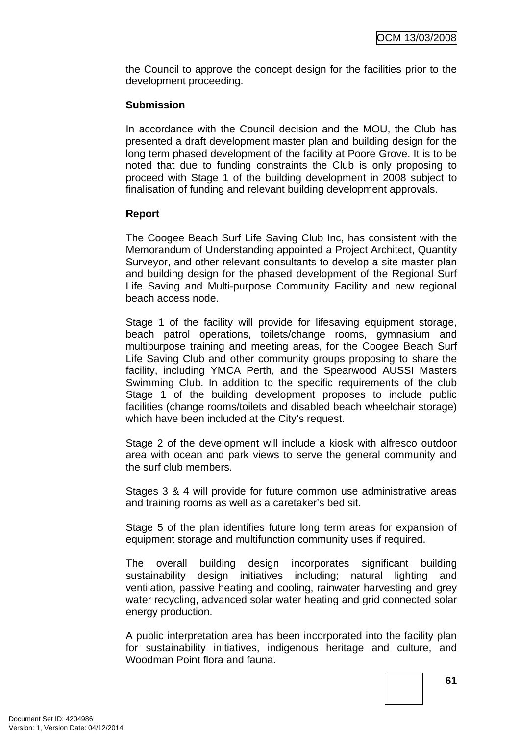the Council to approve the concept design for the facilities prior to the development proceeding.

# **Submission**

In accordance with the Council decision and the MOU, the Club has presented a draft development master plan and building design for the long term phased development of the facility at Poore Grove. It is to be noted that due to funding constraints the Club is only proposing to proceed with Stage 1 of the building development in 2008 subject to finalisation of funding and relevant building development approvals.

# **Report**

The Coogee Beach Surf Life Saving Club Inc, has consistent with the Memorandum of Understanding appointed a Project Architect, Quantity Surveyor, and other relevant consultants to develop a site master plan and building design for the phased development of the Regional Surf Life Saving and Multi-purpose Community Facility and new regional beach access node.

Stage 1 of the facility will provide for lifesaving equipment storage, beach patrol operations, toilets/change rooms, gymnasium and multipurpose training and meeting areas, for the Coogee Beach Surf Life Saving Club and other community groups proposing to share the facility, including YMCA Perth, and the Spearwood AUSSI Masters Swimming Club. In addition to the specific requirements of the club Stage 1 of the building development proposes to include public facilities (change rooms/toilets and disabled beach wheelchair storage) which have been included at the City's request.

Stage 2 of the development will include a kiosk with alfresco outdoor area with ocean and park views to serve the general community and the surf club members.

Stages 3 & 4 will provide for future common use administrative areas and training rooms as well as a caretaker's bed sit.

Stage 5 of the plan identifies future long term areas for expansion of equipment storage and multifunction community uses if required.

The overall building design incorporates significant building sustainability design initiatives including; natural lighting and ventilation, passive heating and cooling, rainwater harvesting and grey water recycling, advanced solar water heating and grid connected solar energy production.

A public interpretation area has been incorporated into the facility plan for sustainability initiatives, indigenous heritage and culture, and Woodman Point flora and fauna.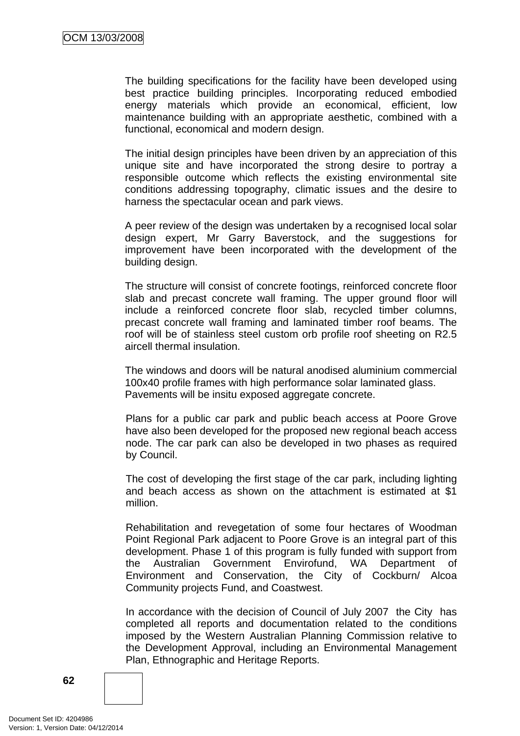The building specifications for the facility have been developed using best practice building principles. Incorporating reduced embodied energy materials which provide an economical, efficient, low maintenance building with an appropriate aesthetic, combined with a functional, economical and modern design.

The initial design principles have been driven by an appreciation of this unique site and have incorporated the strong desire to portray a responsible outcome which reflects the existing environmental site conditions addressing topography, climatic issues and the desire to harness the spectacular ocean and park views.

A peer review of the design was undertaken by a recognised local solar design expert, Mr Garry Baverstock, and the suggestions for improvement have been incorporated with the development of the building design.

The structure will consist of concrete footings, reinforced concrete floor slab and precast concrete wall framing. The upper ground floor will include a reinforced concrete floor slab, recycled timber columns, precast concrete wall framing and laminated timber roof beams. The roof will be of stainless steel custom orb profile roof sheeting on R2.5 aircell thermal insulation.

The windows and doors will be natural anodised aluminium commercial 100x40 profile frames with high performance solar laminated glass. Pavements will be insitu exposed aggregate concrete.

Plans for a public car park and public beach access at Poore Grove have also been developed for the proposed new regional beach access node. The car park can also be developed in two phases as required by Council.

The cost of developing the first stage of the car park, including lighting and beach access as shown on the attachment is estimated at \$1 million.

Rehabilitation and revegetation of some four hectares of Woodman Point Regional Park adjacent to Poore Grove is an integral part of this development. Phase 1 of this program is fully funded with support from the Australian Government Envirofund, WA Department of Environment and Conservation, the City of Cockburn/ Alcoa Community projects Fund, and Coastwest.

In accordance with the decision of Council of July 2007 the City has completed all reports and documentation related to the conditions imposed by the Western Australian Planning Commission relative to the Development Approval, including an Environmental Management Plan, Ethnographic and Heritage Reports.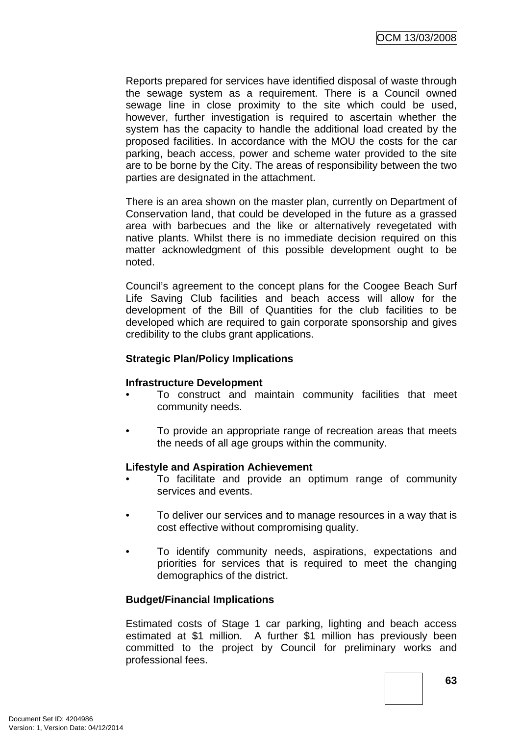Reports prepared for services have identified disposal of waste through the sewage system as a requirement. There is a Council owned sewage line in close proximity to the site which could be used, however, further investigation is required to ascertain whether the system has the capacity to handle the additional load created by the proposed facilities. In accordance with the MOU the costs for the car parking, beach access, power and scheme water provided to the site are to be borne by the City. The areas of responsibility between the two parties are designated in the attachment.

There is an area shown on the master plan, currently on Department of Conservation land, that could be developed in the future as a grassed area with barbecues and the like or alternatively revegetated with native plants. Whilst there is no immediate decision required on this matter acknowledgment of this possible development ought to be noted.

Council's agreement to the concept plans for the Coogee Beach Surf Life Saving Club facilities and beach access will allow for the development of the Bill of Quantities for the club facilities to be developed which are required to gain corporate sponsorship and gives credibility to the clubs grant applications.

# **Strategic Plan/Policy Implications**

# **Infrastructure Development**

- To construct and maintain community facilities that meet community needs.
- To provide an appropriate range of recreation areas that meets the needs of all age groups within the community.

# **Lifestyle and Aspiration Achievement**

- To facilitate and provide an optimum range of community services and events.
- To deliver our services and to manage resources in a way that is cost effective without compromising quality.
- To identify community needs, aspirations, expectations and priorities for services that is required to meet the changing demographics of the district.

# **Budget/Financial Implications**

Estimated costs of Stage 1 car parking, lighting and beach access estimated at \$1 million. A further \$1 million has previously been committed to the project by Council for preliminary works and professional fees.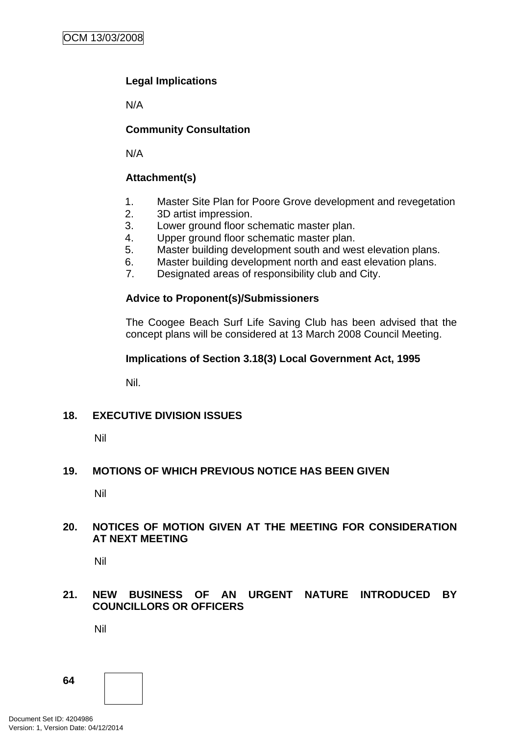# <span id="page-67-0"></span>**Legal Implications**

N/A

# **Community Consultation**

N/A

# **Attachment(s)**

- 1. Master Site Plan for Poore Grove development and revegetation
- 2. 3D artist impression.
- 3. Lower ground floor schematic master plan.
- 4. Upper ground floor schematic master plan.
- 5. Master building development south and west elevation plans.
- 6. Master building development north and east elevation plans.
- 7. Designated areas of responsibility club and City.

# **Advice to Proponent(s)/Submissioners**

The Coogee Beach Surf Life Saving Club has been advised that the concept plans will be considered at 13 March 2008 Council Meeting.

#### **Implications of Section 3.18(3) Local Government Act, 1995**

Nil.

# **18. EXECUTIVE DIVISION ISSUES**

Nil

# **19. MOTIONS OF WHICH PREVIOUS NOTICE HAS BEEN GIVEN**

Nil

# **20. NOTICES OF MOTION GIVEN AT THE MEETING FOR CONSIDERATION AT NEXT MEETING**

Nil

# **21. NEW BUSINESS OF AN URGENT NATURE INTRODUCED BY COUNCILLORS OR OFFICERS**

Nil